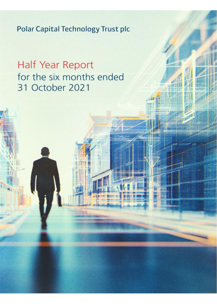# Half Year Report for the six months ended 31 October 2021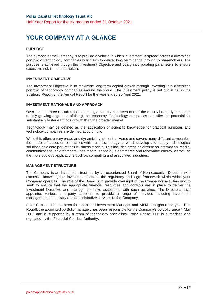# **YOUR COMPANY AT A GLANCE**

#### **PURPOSE**

The purpose of the Company is to provide a vehicle in which investment is spread across a diversified portfolio of technology companies which aim to deliver long term capital growth to shareholders. The purpose is achieved though the Investment Objective and policy incorporating parameters to ensure excessive risk is not undertaken.

#### **INVESTMENT OBJECTIVE**

The Investment Objective is to maximise long-term capital growth through investing in a diversified portfolio of technology companies around the world. The investment policy is set out in full in the Strategic Report of the Annual Report for the year ended 30 April 2021.

#### **INVESTMENT RATIONALE AND APPROACH**

Over the last three decades the technology industry has been one of the most vibrant, dynamic and rapidly growing segments of the global economy. Technology companies can offer the potential for substantially faster earnings growth than the broader market.

Technology may be defined as the application of scientific knowledge for practical purposes and technology companies are defined accordingly.

While this offers a very broad and dynamic investment universe and covers many different companies, the portfolio focuses on companies which use technology, or which develop and supply technological solutions as a core part of their business models. This includes areas as diverse as information, media, communications, environmental, healthcare, financial, e-commerce and renewable energy, as well as the more obvious applications such as computing and associated industries.

#### **MANAGEMENT STRUCTURE**

The Company is an investment trust led by an experienced Board of Non-executive Directors with extensive knowledge of investment matters, the regulatory and legal framework within which your Company operates. The role of the Board is to provide oversight of the Company's activities and to seek to ensure that the appropriate financial resources and controls are in place to deliver the Investment Objective and manage the risks associated with such activities. The Directors have appointed various third-party suppliers to provide a range of services including investment management, depositary and administrative services to the Company.

Polar Capital LLP has been the appointed Investment Manager and AIFM throughout the year. Ben Rogoff, the appointed portfolio manager, has been responsible for the Company's portfolio since 1 May 2006 and is supported by a team of technology specialists. Polar Capital LLP is authorised and regulated by the Financial Conduct Authority.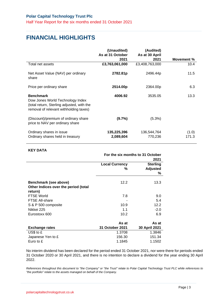# **FINANCIAL HIGHLIGHTS**

|                                                                                                                                              | (Unaudited)<br>As at 31 October | (Audited)<br>As at 30 April |                |
|----------------------------------------------------------------------------------------------------------------------------------------------|---------------------------------|-----------------------------|----------------|
|                                                                                                                                              | 2021                            | 2021                        | Movement %     |
| Total net assets                                                                                                                             | £3,763,061,000                  | £3,408,763,000              | 10.4           |
| Net Asset Value (NAV) per ordinary<br>share                                                                                                  | 2782.81p                        | 2496.44p                    | 11.5           |
| Price per ordinary share                                                                                                                     | 2514.00p                        | 2364.00p                    | 6.3            |
| <b>Benchmark</b><br>Dow Jones World Technology Index<br>(total return, Sterling adjusted, with the<br>removal of relevant withholding taxes) | 4006.92                         | 3535.05                     | 13.3           |
| (Discount)/premium of ordinary share<br>price to NAV per ordinary share                                                                      | (9.7%                           | (5.3%)                      |                |
| Ordinary shares in issue<br>Ordinary shares held in treasury                                                                                 | 135,225,396<br>2,089,604        | 136,544,764<br>770,236      | (1.0)<br>171.3 |

#### **KEY DATA**

|                                                                          | For the six months to 31 October | 2021                                    |
|--------------------------------------------------------------------------|----------------------------------|-----------------------------------------|
|                                                                          | <b>Local Currency</b><br>%       | <b>Sterling</b><br><b>Adjusted</b><br>℅ |
| Benchmark (see above)<br>Other Indices over the period (total<br>return) | 12.2                             | 13.3                                    |
| <b>FTSE World</b>                                                        | 7.8                              | 9.0                                     |
| <b>FTSE All-share</b>                                                    |                                  | 5.4                                     |
| S & P 500 composite                                                      | 10.9                             | 12.2                                    |
| Nikkei 225                                                               | 1.1                              | $-2.0$                                  |
| Eurostoxx 600                                                            | 10.2                             | 6.9                                     |
|                                                                          | As at                            | As at                                   |
| <b>Exchange rates</b>                                                    | 31 October 2021                  | 30 April 2021                           |
| $US$$ to $£$                                                             | 1.3708                           | 1.3846                                  |
| Japanese Yen to £                                                        | 156.30                           | 151.34                                  |
| Euro to £                                                                | 1.1845                           | 1.1502                                  |

No interim dividend has been declared for the period ended 31 October 2021, nor were there for periods ended 31 October 2020 or 30 April 2021, and there is no intention to declare a dividend for the year ending 30 April 2022.

*References throughout this document to "the Company" or "the Trust" relate to Polar Capital Technology Trust PLC while references to "the portfolio" relate to the assets managed on behalf of the Company.*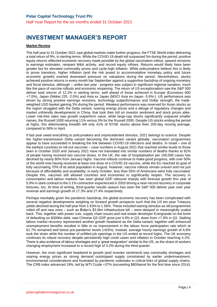## **INVESTMENT MANAGER'S REPORT**

#### **Market Review**

The half year to 31 October 2021 saw global markets make further progress, the FTSE World index delivering a total return of 9%, in sterling terms. While the COVID-19 death toll surpassed 5m during the period, positive equity returns reflected economic recovery made possible by the global vaccination rollout, upward revisions to earnings estimates, rampant M&A activity, and record equity inflows. Returns would likely have been greater but for elevated commodity prices and cycle-high inflation. While policymakers believe this is likely to prove transitory, higher inflation (and the risk posed to accommodative monetary policy and future economic growth) exerted downward pressure on valuations during the period. Nevertheless, stocks achieved positive returns in every month bar September against a supportive backdrop of ongoing monetary and fiscal stimulus, although – unlike last year - progress was subject to significant regional variation, much like the pace of vaccine rollouts and economic reopening. The return of US exceptionalism saw the S&P 500 deliver total returns of 12.2% in sterling terms, well ahead of those achieved in Europe (Eurostoxx 600 +7.0%), Japan (Nikkei 225 -2.0%) and Asia ex Japan (MSCI Asia ex-Japan -5.9%-). US performance was driven by strong positive earnings revisions, technology outperformance and Dollar strength, the tradeweighted USD basket gaining 3% during the period. Weakest performance was reserved for Asian stocks as the region struggled with the Delta variant, soaring energy prices and a deluge of regulatory changes and market unfriendly developments in China, that took their toll on investor sentiment and stock prices alike. Lower risk-free rates saw growth outperform value, while large-cap stocks significantly outpaced smaller names, the Russell 1000 returning 11% versus 3% for the Russell 2000. Despite US stocks ending the period at highs, this deteriorating breadth left only 41% of NYSE stocks above their 200-day moving average, compared to 58% in April.

If last year owed everything to policymakers and unprecedented stimulus, 2021 belongs to science. Despite the higher-transmission Delta variant becoming the dominant variant globally, vaccination programmes appear to have succeeded in breaking the link between COVID-19 infections and deaths. In Israel – one of the earliest countries to roll-out vaccines – case numbers in August 2021 that reached similar levels to those seen in October 2020 and January 2021 have not translated into similar numbers of deaths thanks to 81% of people having received two vaccine doses. In the UK, the rate of hospitalisation per 100,000 cases has declined by nearly 80% from January highs. Vaccine rollouts continue to make good progress, with over 50% of the world now having received at least one dose of a COVID-19 vaccine, while the EU reached its goal of fully vaccinating 70% of its adult population in August. However, vaccine rollouts remain uneven and not just because of affordability and availability; in early October, less than 55% of Americans were fully vaccinated. Despite this, vaccines still allowed countries and economies to significantly reopen. The recovery in consumption and labour markets has seen global GDP rebound sharply with forecast growth this year of 5.9% in stark contrast to the 3.1% contraction experienced in 2020 driving a near-record recovery in corporate fortunes, too. At time of writing, third-quarter results season has seen the S&P 500 deliver year over year revenue and earnings growth of 17.3% and 27.4% respectively.

Perhaps inevitably given the pandemic backdrop, the global economic recovery has been complicated with several negative developments weighing on forward growth prospects such that the US ten-year Treasury yields declined during the half year from 1.63% to 1.56%. These included waning stimulus as old programmes rolled off and new ones – such as Biden's \$3.5trn infrastructure bill – were delayed or meaningfully scaled back. This, together with power cuts, supply chain issues and real estate developer Evergrande on the brink of defaulting on \$300bn debt, saw Chinese Q3 GDP grow just 4.9% in Q3, down from +7.9% in Q2. Stalling labour market recovery represented another growth headwind as the Delta-variant, together with enhanced unemployment benefits resulted in little to no improvement in the labour force participation rate which at 61.7% remained well below pre-pandemic levels (>63%). Instead, average hourly earnings growth of 4.6% took the strain while the number of unfilled job openings in the US ended at record highs. The UK economy continues its robust recovery despite persistently high covid cases and inflation in October reaching 4.2%. There is also evidence of labour shortages and a 'great resignation' similar to the US, as the share of workers changing employment increased to a record high of 3.2% during the third quarter.

However, the most significant headwind to growth (and investor sentiment) was commodity shortages and soaring energy prices as strong demand outstripped supply constrained by earlier underinvestment, environmental considerations and frustrated by pandemic outbreaks in critical links of global supply chains. The CRB index advanced 19%, led by WTI Crude +37% (exceeding \$80/barrel for the first time since 2014).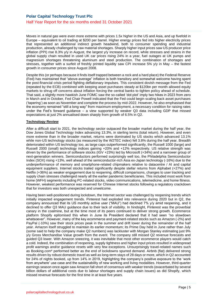Moves in natural gas were even more extreme with prices 1.5x higher in the US and Asia, and up fivefold in Europe – equivalent to oil trading at \$200 per barrel. Higher energy prices fed into higher electricity prices that represented an additional indirect growth headwind, both to consumer spending and industrial production, already challenged by raw material shortages. Sharply higher input prices saw US producer price inflation (PPI) rise 8.3% y/y in August, the largest y/y increase on record, while stresses and strains in the global supply chain resulted in used UK car prices rising 24% in a year, fuel outages at UK pumps and magnesium shortages threatening aluminum and steel production. The combination of shortages and stresses, together with a surfeit of freshly printed liquidity saw CPI increase 5% y/y in May – the fastest growth in consumer prices since August 2008.

Despite this (or perhaps because it finds itself trapped between a rock and a hard place) the Federal Reserve (Fed) has maintained that "above-average" inflation is both transitory and somewhat welcome having spent the post-financial crisis period fighting deflationary impulses. This consistent dovish message from the Fed (repeated by the ECB) combined with keeping asset purchases steady at \$120bn per month allowed equity markets to shrug off concerns about inflation forcing the central banks to tighten policy ahead of schedule. That said, a slightly more hawkish June FOMC saw the so-called 'dot plot' imply two hikes in 2023 from zero in March and in October, Fed Chair Powell indicated that the Fed could begin scaling back asset purchases ('tapering') as soon as November and complete the process by mid-2022. However, he also emphasised that the economy remained "still a long way" from maximum employment, a necessary condition for raising rates under the Fed's forward guidance – a view supported by weaker Q3 data including GDP that missed expectations at just 2% annualised down sharply from growth of 6.5% in Q2.

#### **Technology Review**

After a difficult start to 2021, the technology sector outpaced the broader market during the half year, the Dow Jones Global Technology Index advancing 13.3%, in sterling terms (total return). However, and even more extreme than in the broader market, returns were dominated by US stocks which advanced 13.1% while non-US technology stocks (as measured by the W2TEC index) fell 3.8% during the half year. Breadth deteriorated within US technology too, as large caps outperformed significantly, the Russell 1000 (large) and Russell 2000 (small) technology indices gaining +20% and +12% respectively. US relative strength was driven by the performance of software stocks (IGV +23%) led by Microsoft (+34%) and a narrower group of next-generation winners. Semiconductors performed surprisingly well too, the Philadelphia Semiconductor Index (SOX) rising +13%, well ahead of the semiconductor-rich Asia ex-Japan technology (-16%) due to the underperformance of memory and smartphone-related chipmakers relative to datacentre / AI and capital equipment suppliers. Internet stocks trailed significantly despite stellar returns from Alphabet (+27%) and Netflix (+36%) as weaker engagement due to reopening, difficult comparisons, changes to user tracking and supply chain stresses challenged nearly all the earlier pandemic beneficiaries. This included most work from home (WFH) segments including PC-related stocks, video communications, telemedicine, and home fitness. However, weakest performance was reserved for Chinese Internet stocks following a regulatory crackdown that for investors was both unexpected and unwelcome.

Having been well-positioned during lockdown, the Internet sector was challenged by reopening trends which initially impacted engagement trends. Pinterest had exploded into relevance during 2020 but in Q2, the company announced that its US monthly active user ("MAU") had declined 7% y/y amid reopening, and it declined to offer Q3 MAU guidance due to their lack of visibility. In hindsight, Pinterest was the proverbial canary in the coalmine, but at the time most of its peers continued to deliver strong growth. Ecommerce platform Shopify epitomised this when in June its President declared that it had seen "no slowdown whatsoever". However, many of the key ecommerce and payment-related stocks such as Amazon (-2%) and PayPal (-10%) saw their stock prices peak in the summer and drift lower during the remainder of the half year. Amazon itself struggled to maintain its earlier momentum; its Prime Day held in June rather than July (some said to help the company make Q2 numbers) was lackluster with Morgan Stanley estimating just 9% y/y Gross Merchandise Value growth from the event. The company still missed Q2 revenue forecasts and guided Q3 lower. With Amazon sneezing, it was inevitable that most other ecommerce players would catch a cold. Indeed, the combination of reopening, supply tightness and higher input prices resulted in widespread profit warnings and/or guidance resets with very few exceptions. Unsurprisingly travel-related names such as Booking.com\* performed better as the end of lockdowns spurred demand. Airbnb (flat) delivered strong results driven by robust domestic travel as well as long-term stays of 28 days or more, which in Q2 accounted for 24% of nights booked, up from 14% in 2019, highlighting the company's positive exposure to the 'work from anywhere' use case and the sustainability of new working and living modalities. However, third-quarter earnings season once again saw Amazon fall short of consensus with weaker trends (exacerbated by several billion dollars of additional costs due to labour shortages and supply chain issues) as did Shopify, which missed revenue forecasts for the first time in at least five years.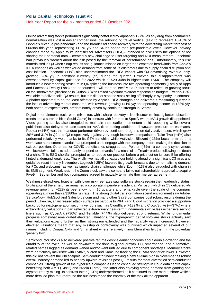#### Half Year Report for the six months ended 31 October 2021

Online advertising stocks performed significantly better led by Alphabet (+27%) as any drag from ecommerce normalisation was lost in easier comparisons, the rebounding travel vertical (said to represent 10-15% of Google's revenue pre-pandemic) and the broader ad spend recovery with the advertising market forecast at \$669bn this year, representing 11.2% y/y and \$40bn ahead than pre-pandemic levels. However, privacy changes made by Apple to its Identifier for Advertisers (IDFA)– intended to give users the options of not sharing their personal data – created a new challenge to user targeting and ROI measurement. Facebook had previously warned about the risk posed by the removal of personalised ads. Unfortunately, this risk materialised in Q3 when Snap results and guidance missed on larger than expected headwinds from Apple's IDFA changes as well as weaker ad demand from some of its customers due to supply chain disruption and cost inflation. Facebook (+1%) also underestimated the IDFA impact with Q3 advertising revenue 'only' growing 32% y/y in constant currency (cc) during the quarter. However, this disappointment was overshadowed by capex guidance for 2022 which at \$29-34bn is higher than TSMC! The company will introduce a new reporting structure in Q4 splitting the business into two operating segments (Family of Apps and Facebook Reality Labs) and announced it will rebrand itself Meta Platforms to reflect its growing focus on the 'metaverse' (discussed in Outlook). With limited exposure to direct response ad budgets, Twitter (+2%) was able to deliver solid Q3 results, but this did not stop the stock selling off sharply in sympathy. In contrast, Alphabet appeared to be the least affected by Apple's IDFA changes and delivered a reassuring quarter in the face of advertising market concerns, with revenue growing +41% y/y and operating income up +88% y/y, both ahead of expectations, predominately driven by continued strength in Search.

Digital entertainment stocks were mixed too, with a sharp recovery in Netflix stock (reflecting better subscriber trends and a surprise hit in Squid Game) in contrast with fortunes at Spotify where MAU growth disappointed. Video gaming stocks also struggled to maintain their earlier momentum amid reopening while several publishers also delayed release dates for AAA titles putting additional downward pressure on estimates. Roblox (+14%) was the standout performer driven by continued progress on daily active users which grew 29% and 31% in Q2 and Q3 respectively against very tough lockdown comparisons. Take-Two (+4%) also performed relatively well, thanks to its GTA franchise while Activision Blizzard (-13%) became mired in a workplace harassment scandal that prompted us to engage with the company before making the decision to exit our position. Other earlier COVID beneficiaries struggled too. Peloton (-6%)– a company synonymous with lockdown – failed to adequately respond to demands for a recall of its Tread+ product following the death of a child. This ESG shortfall prompted us to reduce our position before a price cut on its core Bike offering hinted at demand weakness. Thankfully, we had all but exited our holding ahead of a significant Q3 miss and guidance reset in early November. Logitech (-25%) lowered its growth forecasts due to normalising demand for PCs and webcams, as well as supply chain challenges while Zoom (-13%) also struggled with churn in its SMB segment. Weakness in the Zoom stock saw the company fail to gain shareholder approval to acquire Five9 in September and both companies agreed to mutually terminate their merger agreement.

Weakness elsewhere, together with lower risk-free rates saw software stocks regain their leadership status. Digitisation of the enterprise remained a corporate imperative, evident at Microsoft which in Q3 delivered y/y revenue growth of +22% its best showing in 16 quarters and remarkable given the scale of the company (operating at more than a \$180bn run rate). The strong digital transformation spend environment saw Adobe, ServiceNow, HubSpot and Salesforce.com and many other SaaS companies post robust results during the period. Likewise, an increased attack surface (in part due to WFH) and Cloud migration provided a supportive backdrop for next-generation security vendors such as Cloudflare (+132%) and CrowdStrike (++37%) where extraordinary valuations in part reflected extraordinary near-term fundamentals while less expensive second liners such as CyberArk (+30%) and Tenable (+44%) also delivered strong returns. While fundamental progress somewhat ameliorated elevated valuations, the hypergrowth tier of software stocks actually saw their valuations expand further as their strong run extended and their scarcity value increased. However, elevated valuations meant that any misstep or controversy was punished which impacted several of our names including Coupa, Okta and Smartsheet where relatively minor blemishes left them in the proverbial 'penalty box'.

Semiconductor stocks also delivered positive returns despite earlier concerns about double-ordering and the durability of the cycle, as well as downward revisions to global growth. PC, smartphone, and automotiverelated names lagged as demand waned and/or went unfilled due to component shortages. Memory stocks were particularly lacklustre with Hynix\*, Micron and Samsung tracking the DRAM spot price lower. However, this did not prevent the Philadelphia Semiconductor index making a new all-time high in November as robust overall industry demand led to healthy upward revisions post Q3 results for most diversified semiconductor companies. Strong growth at the hyperscale companies led to continued strength in cloud data centre capex benefitting both AMD (+49%) and Nvidia (+72%), the latter also enjoying strong demand from gaming and cryptocurrency mining. In contrast Intel\* (-13%) underperformed as it continued to lose market share while a more detailed plan to turnaround the business made the enormity of the task all too apparent.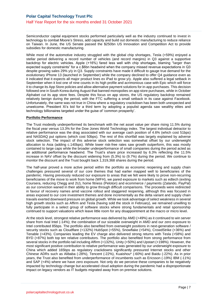Semiconductor capital equipment stocks performed particularly well as the industry continued to invest in technology to combat Moore's Stress, add capacity and build out domestic manufacturing to reduce reliance on Taiwan. In June, the US Senate passed the \$250bn US Innovation and Competition Act to provide subsidies for domestic manufacturing.

While most of the automotive industry struggled with the global chip shortages, Tesla (+59%) enjoyed a stellar period delivering a record number of vehicles (and record margins) in Q3 against a supportive backdrop for electric vehicles. Apple (+16%) fared less well with chip shortages, blaming "larger than expected supply constraints" for a c.\$6bn headwind when the company missed revenue expectations in Q3 despite growing sales 29% y/y in Q3. Supply constraints have made it difficult to gauge true demand for the evolutionary iPhone 13 (launched in September) while the company declined to offer Q4 guidance even as it indicated that it expects all major product lines ex iPad to grow y/y. Apple also suffered a legal setback in September when it lost one of nine counts in its high profile and acrimonious case with Epic which will force it to change its App Store policies and allow alternative payment solutions for in-app purchases. This decision followed one in South Korea during August that banned monopolies on app store purchases, while in October Alphabet cut its app store fees. Despite this focus on app stores, the US regulatory backdrop remained relatively benign during the period, with the FTC suffering a small setback in its case against Facebook. Unfortunately, the same was not true in China where a regulatory crackdown has been both unexpected and unwelcome. President Xi's bid for a third term by adopting a populist agenda saw wealthy elites and technology billionaires targeted under the guise of 'common prosperity'.

#### **Portfolio Performance**

The Trust modestly underperformed its benchmark with the net asset value per share rising 11.5% during the fiscal year versus 13.3% for the Dow Jones World Technology index. The largest individual detractor to relative performance was the drag associated with our average cash position of 4.6% (which cost 51bps) and NASDAQ put options (which cost 50bps). The rest of this shortfall was largely explained by adverse stock selection. The impact of this adverse stock selection was somewhat offset by our underweight allocation to Asia (adding c.140bps). While lower risk-free rates saw growth outperform, this was mostly contained to large caps while the broader underperformance of small companies during the period acted as an additional performance headwind. The Trust's share price increased by 6.3% reflecting the 11.5% increase in NAV offset by the discount widening from (5.3%) to (9.7%) during the period. We continue to monitor the discount and the Trust bought back 1,319,368 shares during the period.

The half-year proved a more active period within the portfolio as economic reopening and supply chain challenges pressured several of our core themes that had earlier mapped well to beneficiaries of the pandemic. Having previously reduced our exposure to areas that we felt were likely to prove non-recurring beneficiaries of the move to work from home (WFH), we pared exposure to markets such as edtech (exiting Coursera, reducing Chegg and 2U), home fitness (Peloton) and ecommerce / payments (Zalando, PayPal) as our conviction waned in their ability to grow through difficult comparisons. The proceeds were redirected in favour of recovery names amid vaccine rollout and staggered reopening, although this was focused in areas exposed to our core investment themes and done incrementally as the delta variant and supply chain travails exerted downward pressure on global growth. While we took advantage of select weakness in several high growth stocks such as Affirm and Tesla (having sold the stock in February), we remained unwilling to fully participate in a select group of software stocks where strong fundamentals and retail sponsorship continued to support valuations which leave little room for any disappointment at the macro or micro level.

At the stock level, strongest relative performance was delivered by AMD (+49%) as it continued to win server share from rival Intel (-14%); the combination of our sizeable overweight in AMD and our zero exposure to Intel contributed 85bps. The portfolio also benefited from overweight positions in next-generation software / security stocks such as Cloudflare (+132%) HubSpot (+55%), Snowflake (+54%), CrowdStrike (+36%) and Tenable (+43%). Companies leading the EV charge also delivered strong returns with Tesla (+58%) and BYD (+87%) both top ten relative contributors. The portfolio also benefited from strong performance from several stocks in the portfolio tail including Affirm (+132%), Unity (+50%) and Upstart (+198%). However, the most significant positive contribution to relative performance was generated by our underweight exposure to China which added 165bps as regulatory crackdowns significantly pressured Internet stocks and other Chinese ADRs such as Alibaba (-28%), Tencent (-22%), Kuaishou\* (-60%) and Baidu (-22%). As in prior years, the Trust also benefited from underperformance of incumbents such as Ericsson (-19%) IBM (-11%) and SAP (+4%) where we have zero exposure. Not only do we perceive these companies to be negatively impacted by technology change but accelerated cloud adoption during the pandemic had a disproportionate impact on legacy vendors as IT budgets migrated away from on premise solutions.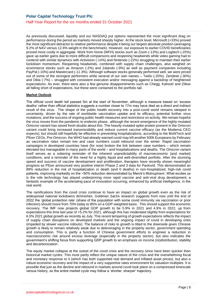As previously discussed, liquidity and our NASDAQ put options represented the most significant drag on performance during the period as markets moved sharply higher. At the stock level, Microsoft (+33%) proved the most significant detractor to relative performance despite it being our largest absolute position (averaging 9.2% of NAV versus 12.6% weight in the benchmark). However, our exposure to earlier COVID beneficiaries proved more costly in aggregate. Work from home (WFH) stocks such as Zoom (-13%) and Logitech (-25%) gave up earlier gains due to more difficult comparisons and reopening headwinds while video gaming had to contend with similar dynamics with Activision (-14%) and Nintendo (-22%) struggling to maintain their earlier lockdown momentum. Reopening headwinds, combined with supply chain challenges, also weighed on ecommerce stocks such as Amazon (-2%) and Zalando (-9%) as well as payment companies including PayPal (-10%) and Mastercard (-11.3%). Although software stocks generally performed well, we were priced out of some of the strongest performers while several of our own names – Twilio (-20%), Zendesk (-30%) and Okta (-7%) – struggled with consistent execution and/or messaging against a backdrop of heightened expectations. As ever, there were also a few genuine disappointments such as Chegg, Kahoot! and Zillow all falling short of expectations, but these were contained to the portfolio tail.

#### **Market Outlook**

The official covid death toll passed 5m at the start of November, although a measure based on 'excess deaths' rather than official statistics suggests a number closer to 17m may have died as a direct and indirect result of the virus. The shape of the public health recovery into a post-covid world remains steeped in uncertainty, driven by the rate of worldwide vaccination uptake and its efficacy, potential further virus mutations, and the success of ongoing public health measures and restrictions on activity. We remain hopeful the virus moves from the pandemic to endemic phase , although the recent emergence of the highly-mutated Omicron variant has raised fresh doubts about this. The heavily mutated spike protein present in the Omicron variant could bring increased transmissibility and reduce current vaccine efficacy (as the Moderna CEO expects), but should still hopefully be effective in preventing hospitalizations, according to the BioNTech and Pfizer CEOs. Pre-Omicron, the WHO had already warned covid may kill another 500k Europeans by February as vaccination rates remain low and case numbers could rebound over the winter. Rapid vaccination campaigns in developed countries have (for now) broken the link between case numbers – which remain elevated but manageable in many parts of the world – and hospitalizations and deaths. The Omicron variant itself serves as a sobering reminder of the inherent unpredictability of macroeconomic (and market) conditions, and a reminder of the need for a highly liquid and well-diversified portfolio. After the stunning speed and success of vaccine development and proliferation, therapies have recently shown meaningful progress as Pfizer announced very positive interim Phase 2 and 3 data for Paxlovid. This demonstrated an 89% reduction in the risk of hospitalization or death (and 0 deaths) in non-hospitalized, high-risk covid patients, improving markedly on the ~50% reduction demonstrated by Merck's Molnupiravir. What excites us is the role technology has played underpinning more rapid vaccine and anti-viral drug development; a fantastic example of the accelerating pace of innovation occurring, enhanced by artificial intelligence, in the real world.

The ramifications from the covid crisis continue to have an impact on global growth even as the risk of widespread national lockdowns diminishes. Goldman Sachs research suggests from now until the end of 2022 the 'global protection rate' (share of the population with some covid immunity via vaccination or prior infection) should move from 70% today to 85% on a GDP-weighted basis. This should support the economic recovery. The IMF now projects global GDP growth to be 5.9% in 2021 and 4.9% in 2022, up from expectations this time last year of +5.2% for 2021, although this has moderated slightly from expectations for 6.0% 2021 global growth as recently as July. This recent tempering of growth expectations reflects the impact of supply chain disruptions on developed markets and the ongoing impact of covid in developing ones (impeded by slower vaccine rollouts). The balance of risks to growth is tilted to the downside given Chinese growth is likely to remain relatively weak due to deleveraging in the property sector, government spending and consumption. This is partly a function of Chinese government efforts to engineer a reduction in macroeconomic risk around excess leverage (especially in the property sector), but also indicates the government's shifting focus from supporting GDP growth to an emphasis on income (re)distribution, stability and decarbonization.

The equity market collapse at the outset of the covid crisis and the recovery since have been quicker than historical market cycles. This must partly reflect the unique nature of the crisis and the overwhelming fiscal and monetary response to it (which has both supported real demand and inflated asset prices), but also a robust economic recovery and the impact of a very supportive rates environment for valuation multiples. It is possible that just as the decline and rebound in markets around covid took place on a compressed timescale versus history, so the entire market cycle may follow a 'shorter, sharper' trajectory.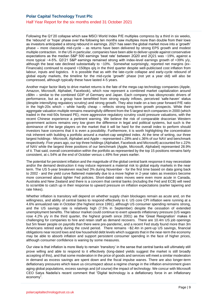Following the Q1'20 collapse which saw MSCI World Index P/E multiples compress by a third in six weeks, the 'rebound' or 'hope' phase over the following ten months saw multiples more than double from their lows as investors anticipated a strong rebound in earnings. 2021 has seen the global market move into a 'growth' phase – more classically mid-cycle – as returns have been delivered by strong EPS growth and modest multiple contraction. In the US in particular, companies have been able to deliver upside against conservative expectations as the median S&P 500 earnings 'beat rate' between 2Q20 and 2Q21 was ~19%, against a more typical ~4-5%. Q3'21 S&P earnings remained strong with index-level earnings growth of +39% y/y, although the beat rate declined substantially to ~10%. Somewhat surprisingly, reported net margins (ex-Financials) continued to expand +150bps q/q in the third quarter despite well-publicised cost inflation from labour, inputs and logistics. It is possible that as with the late-cycle collapse and early-cycle rebound of global equity markets, the timeline for the mid-cycle 'growth' phase (not yet a year old) will also be compressed, although typically these have lasted 4-5 years.

Another major factor likely to drive market returns is the fate of the mega cap technology companies (Apple, Amazon, Microsoft, Alphabet, Facebook), which now represent a combined market capitalization around c\$9tn – similar to the combined GDP of Germany and Japan. Each company has idiosyncratic drivers of performance, but as a group have benefitted from strong equity inflows, perceived 'safe-haven' status (despite intensifying regulatory scrutiny) and strong growth. They also trade on a two-year forward P/E ratio in the high-20s which – while hardly cheap – reflects strong long-term growth prospects. While their aggregate valuation multiple remains meaningfully different from the 5 largest tech companies in 2000 (which traded in the mid-50s forward PE), more aggressive regulatory scrutiny could pressure valuations, with the recent Chinese experience a pertinent warning. We believe the risk of comparable draconian Western government actions remains very low given the difference in legal and political systems, but such is the dominance of the large players on the market that it will be hard for the overall index to perform should investors have concerns that it is even a possibility. Furthermore, it is worth highlighting the concentration risk inherent with building a portfolio around a market-cap weighted index. At the time of writing, our three largest holdings - Microsoft, Alphabet and Apple – represented c.28% and c.36% of our NAV and benchmark respectively. Five years ago, our top three holdings (Alphabet, Facebook and Microsoft) accounted for c.22% of NAV while the largest three positions of our benchmark (Apple, Microsoft, Alphabet) represented 28.9% of it. That said, overall concentration within the portfolio as represented by the top 15 positions remains fairly consistent, at c.54% at the end of October versus c.49% five years earlier.

The potential for persistent inflation and the magnitude of the global central bank response it may necessitate and/or the demand destruction it may induce represent a material risk to global equity markets in the near term. The US 5-year breakeven reached 3% during November - for the first time based on data going back to 2002 - and the yield curve flattened materially due to a move higher in 2-year rates as investors become more concerned about tighter Fed policies. Short-dated rates moves were even more acute in Canada, Australia and New Zealand and there is a concern that central banks (including the Fed and ECB) will need to scramble to catch up in their response to upward pressure on inflation expectations (earlier tapering and rate hikes).

Whether inflation is transitory will depend on whether supply chain blockages remain as acute and, on the willingness, and ability of central banks to respond effectively to it. US core CPI inflation were running at a 4.6% annualized rate in October (the highest since 1991), although US consumer spending remains strong, and the US savings rate is relatively high (7.5% in September) despite the cessation of extended unemployment benefits. The labour market could continue to exert upwards inflationary pressure (US wages rose 4.2% y/y in the third quarter, the highest growth since 2001) as the 'Great Resignation' makes it challenging for companies to hire and retain staff as demand recovers. There are 10.4m US job openings but 5m fewer people on payrolls than there were pre-pandemic, and a recent Fed study found more than 3m Americans retired early during the covid period. There remains ~\$2.4tn in pent-up US savings, financial obligations near record lows and low household debt levels which suggests that in the near-term the economy may be able to absorb inflation and support persistent consumer spending in the face of higher prices, although consumer confidence is waning by some measures.

Our view is that inflation is more likely to remain 'transitory' in the sense that central banks will ultimately still prove willing and able to respond to it effectively (long-dated yields suggest the market is still broadly accepting of this), and that some moderation in the price of goods and services will meet a similar moderation in demand as excess savings are spent down and the fiscal impulse wanes. There are also longer-term deflationary pressures which leave us circumspect about a regime change in the inflation environment given aging global populations, excess savings and (of course) the impact of technology. We concur with Microsoft CEO Satya Nadella's recent comment that "Digital technology is a deflationary force in an inflationary economy".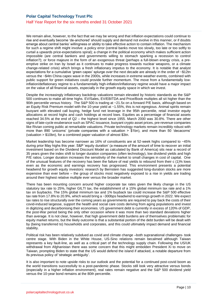We remain alive, however, to the fact that we may be wrong and that inflation expectations could continue to rise and eventually become 'de-anchored' should supply and demand not evolve in this manner, or if doubts emerge about central banks' willingness or ability to take effective action to contain inflation. The mechanism for such a regime shift might involve: a policy error (central banks move too slowly, too late or too softly to curtail a upwards price-expectations spiral); a change in the political economy which makes sufficient action impossible (are central bankers and governments willing to stomach sparking a recession to control inflation?); or force majeure in the form of an exogenous threat (perhaps a full-blown energy crisis, a preemptive strike on Iran by Israel as it continues to make progress towards nuclear weapons, or a climate change-related crisis) which brings a fresh inflationary impetus to the economy. It is notable that analyst expectations for a cumulative 'green capex' splurge over the next decade are already in the order of ~\$12tn versus the ~\$4tn China capex wave in the 2000s, while increases in extreme weather events, combined with public support for green initiatives could provide further momentum. The move from a fundamentally lowinflation/deflationary regime to a fundamentally high-inflation/inflationary regime would have a major impact on the value of all financial assets, especially in the growth equity space in which we invest.

Despite the increasingly inflationary backdrop valuations remain elevated by historic standards as the S&P 500 continues to make all-time highs. EV/Sales, EV/EBITDA and Price/Book multiples all sit higher than the 90th percentile versus history. The S&P 500 is trading at ~21.5x on a forward P/E basis, although based on an Equity Risk Premium model with the 10-year yield at ~1.55%, this is not egregious. Animal spirits remain buoyant with elevated call buying, hedge fund net leverage in the 95th percentile, retail investor equity allocations at record highs and cash holdings at record lows. Equities as a percentage of financial assets reached 34.5% at the end of Q2 – the highest level since 1955. March 2000 was 30.8%. There are other signs of late-cycle exuberance such as SPAC issuance, buoyant crypto asset prices, pre-revenue companies like Rivian coming public at remarkable valuations. Private technology markets remain incredibly robust with more than 890 'unicorns' (private companies with a valuation > \$1bn), and more than 50 'decacorns' (valuation > \$10bn), for a combined paper valuation of almost \$3tn.

Market leadership has become narrower as 16% of constituents are at 52-week highs compared to ~45% during prior May highs this year. S&P 'equity duration' (a measure of the amount of time to recover an initial investment based on the Dividend Discount Model as calculated by Bank of America) sits near a record of 35 years given the index shift to longer duration companies (often technology), low dividend yields and high P/E ratios. Longer duration increases the sensitivity of the market to small changes in cost of capital. One of the unusual features of the recovery has been the failure of real yields to rebound from their c (1)% lows even as the economic and earnings recovery has progressed. This environment presents a potential headwind for growth equity investors: research by Bernstein has suggested long-duration stocks are more expensive than ever before – the group of stocks most negatively exposed to a rise in yields are trading around their highest relative multiple ever versus the broader market.

There has been mounting concern around higher corporate tax rates given the likely change in the US statutory tax rate to 25%, higher GILTI tax, the establishment of a 15% global minimum tax rate and a 1% tax on buybacks. The 15% global minimum tax and 1% buyback tax could increase the S&P 500 effective tax rate from 17.8% to 20.9%, which would bring a ~300bps headwind to earnings growth in 2022. We expect tax rates to rise structurally over the coming years as governments are required to pay back the costs of their covid-induced largesse, support the health and social care costs deriving from aging populations and invest in digitizing and decarbonising their economies. US government debt is currently in excess of 120% of GDP, the post-War period being the only other occasion where it was more than two standard deviations higher than average. It is not clear, however, that high government debt burdens are of themselves problematic for equity market returns, but the likely outcome is that a substantial portion of the debt burden will be dealt with by (being transferred to) households and corporates, and this could ultimately impact demand and financial stability.

Political risk has been relatively subdued as covid and climate change –both supranational challenges- took centre stage. With Biden in the White House, US-Sino relations remain becalmed although Taiwan represents a key fault-line, as well as a critical part of the technology supply chain. Following the US/UK withdrawal from Afghanistan there was some concern that this might embolden President Xi to move on Taiwan, prompting Biden to state that the US would defend the island if attacked, a notable departure from its previous policy of 'strategic ambiguity'.

It is also important to note upside risks to our outlook and the potential for a continued post-covid boom as the world transitions successfully to a post-pandemic phase. Stocks still look very attractive versus bonds (especially in a higher inflation environment), real rates remain negative and the S&P 500 dividend yield versus the 10-year bond remains at the 80th percentile.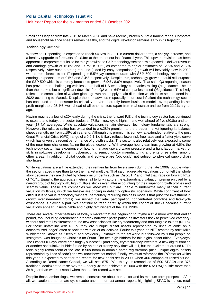Small caps lagged from late 2013 to March 2020 and have recently broken out of a trading range. Corporate and household balance sheets remain healthy, and the digital revolution remains early in its trajectory.

#### **Technology Outlook**

Worldwide IT spending is expected to reach \$4.5trn in 2021 in current dollar terms, a 9% y/y increase, and a healthy upgrade to forecasts of c.\$4trn at the end of our last financial year. This upward revision has been apparent in corporate results so far this year with the S&P technology sector now expected to deliver revenue and earnings growth of 15.8% and 27.7% in 2021, as compared to earlier estimates of 12.6% and 21.2% respectively. After such a strong rebound (aided by easy comparisons) growth will inevitably slow in 2022 with current forecasts for IT spending + 5.5% y/y commensurate with S&P 500 technology revenue and earnings expectations of 9.5% and 8.4% respectively. Despite this, technology growth should still outpace the S&P 500 which is currently forecast to grow at 6.9% / 8.6% respectively. That said, Q3 reporting season has proved more challenging with less than half of US technology companies raising Q4 guidance – better than the market, but a significant downtick from Q2 when 64% of companies raised Q3 guidance. This likely reflects the combination of weaker global growth and supply chain disruption which looks set to extend into 2022 according to Maersk. Despite these headwinds (especially input cost inflation) the technology sector has continued to demonstrate its criticality and/or inherently better business models by expanding its net profit margin to c.25.4%, well ahead of all other sectors (apart from real estate) and up from 22.2% a year ago.

Having reached a low of c20x early during the crisis, the forward P/E of the technology sector has continued to expand and today, the sector trades at 27.5x – new cycle highs – and well ahead of five (20.8x) and tenyear (17.4x) averages. While absolute valuations remain elevated, technology fundamentals are strong. However, the relative rating has expanded to a c.28% premium to the broader market ignoring its balance sheet strength, up from c.19% at year end. Although this premium is somewhat extended relative to the post Great Financial Crisis (GFC) range of c.0.9-1.1x, it likely reflects lower risk-free rates and a flatter yield curve which has driven the recent performance of growth stocks. The sector is also relatively less exposed to some of the near-term challenges facing the global economy. With average hourly earnings growing at 4.6%, the technology sector has experience of how to manage upward wage pressure and a tight labour market for skills in software development, cybersecurity, semiconductor manufacturing and enterprise sales, among other areas. In addition, digital goods and software are (obviously) not subject to physical supply-chain shortages!

While valuations are a little extended, they remain far from levels seen during the late 1990s bubble when the sector traded more than twice the market multiple. That said, aggregate valuations do not tell the whole story because they are diluted by 'cheap' incumbents such as Cisco, HP and Intel that trade on forward P/Es of 7-17x. Equally, the aggregate metrics fail to fully capture the extraordinary valuation premia enjoyed by a narrow group of high-growth, high multiple stocks even after accounting for their superior growth profiles and scarcity value. These are companies we know well but are unable to underwrite many of their current valuation multiples, which we believe are pricing in defiantly optimistic scenarios. While cognizant of how difficult it is to value technology winners (particularly recurring business models that prioritize investment in growth over near-term profits), we suspect that retail participation, concentrated portfolios and late-cycle exuberance is playing a part. We continue to tread carefully within this cohort of stocks because current valuations appear unsustainable and highly reminiscent of the late 1990s.

There are several other features of today's market that are beginning to rhyme a little more with that earlier period, too, including deteriorating breadth / narrower participation as investors flock to perceived categorywinners and retail excitement around new asset classes like cryptocurrency and non-fungible tokens (NFTs). For those unfamiliar with NFTs, they are "unique digital assets represented by lines of code on a decentralized ledger" often associated with art or collectibles. Earlier this year, an NFT created by artist Mike Winklemann, known as "Beeple" and previously unknown to the art world but followed by 1.8m people on Instagram, was bought at Christie's for \$69m. The two high bidders for this digital asset (titled 'Everydays: The First 5000 Days') were both hugely successful (and early) cryptocurrency investors. A new digital frontier, or another speculative bubble fueled by an earlier frenzy only time will tell, but the excitement around NFTs feels highly reminiscent of the late 1990s boom in domain name registrations (also 'unique digital assets represented by lines of code') and we know how that ended. Finally, we must reference the IPO market which this year is expected to shatter the record for new deals set in 2000, when 406 companies raised \$93bn. According to Renaissance Capital, we will see 875 IPOs this year (comprised of 500 SPACs and 375 traditional deals) set to raise \$250bn – nearly 3x that achieved in 2000 with the NASDAQ a little more than 3x higher than where it stood when that earlier record was set.

Despite these 'amber flags', we remain constructive about our sector and its medium-term prospects. After all, we cautioned about late-cycle exuberance in our last annual report, highlighting SPAC issuance, retail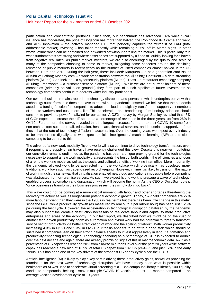#### Half Year Report for the six months ended 31 October 2021

participation and concentrated portfolios. Since then, our benchmark has advanced 14% while SPAC issuance has moderated, the price of Dogecoin has more than halved, the Robinhood IPO came and went, and ARK Innovation – the actively managed ETF that perfectly captures the zeitgeist of TAM (total addressable market) investing – has fallen modestly while remaining c.25% off its March highs. In other words, exuberance can be contained and/or worked off without derailing the market. This is particularly true when fundamentals are strong and where asset prices are supported by a flood of liquidity looking for a haven from negative real rates. As public market investors, we are also encouraged by the quality and scale of many of the companies choosing to come to market, mitigating some concerns around the declining relevance of public markets in recent years as the number of listed companies almost halved in the US between 1996 and 2018. During the half year, these included: Marqueta – a next generation card issuer (\$15bn valuation); Monday.com – a work orchestration software tool (\$7.5bn); Confluent – a data streaming platform (\$10bn); SentinelOne – a cybersecurity platform (\$10bn); Toast – a restaurant technology company (\$20bn); Freshworks – a customer service platform (\$10bn). While we are not current holders of these companies (primarily on valuation grounds) they form part of a rich pipeline of future investments as technology companies continue to address wider industry profit pools.

Our own enthusiasm remains rooted in technology disruption and pervasion which underpins our view that technology outperformance does not have to end with the pandemic. Instead, we believe that the pandemic acted as a forcing function for companies to adopt the cloud and digitally transform to support vast numbers of remote workers and customers alike. This acceleration and broadening of technology adoption should continue to provide a powerful tailwind for our sector. A Q2'21 survey by Morgan Stanley revealed that 46% of CIOs expect to increase their IT spend as a percentage of revenues in the three years, up from 26% in Q4'19 . Furthermore, the survey revealed that the largest increases from pre- to post-COVID-19 came from non-tech sectors such as retail, education, healthcare, financial services, and industrials, supportive of our thesis that the rate of technology diffusion is accelerating. Over the coming years we expect every industry to be transformed digitally and we expect artificial intelligence / machine learning (AI/ML) and cloud computing to be central to this.

The advent of a new work modality (hybrid work) will also continue to drive technology transformation, even if reopening and supply chain travails have recently challenged this view. Despite this near-term buffeting, our conviction remains undimmed as the pandemic has been a unique proving ground for the technologies necessary to support a new work modality that represents the best of both worlds – the efficiencies and focus of a remote working model as well as the social and cultural benefits of working in an office. More importantly, the pandemic allowed work to be abstracted from the workplace which prosaically has obsoleted many traditional workflows such as paper-based record keeping. However, in time it is likely to transform the nature of work in much the same way that virtualisation enabled new cloud applications impossible before computing was abstracted from on-premise servers. As such, we expect hybrid work to presage a wave of technologyenabled process automation and digitalisation which will become the norm. As the CEO of DocuSign puts it, "once businesses transform their business processes, they simply don't go back".

This wave could not be coming at a more critical moment with labour and other shortages threatening the recovery trajectory as well as longer-term potential economic growth. Today, S&P 500 companies are 27% more labour efficient than they were in the 1980s in real terms but there has been little change in this metric since the GFC, while productivity growth (as measured by real output per labour hour) has been just 1.25% pa during the last cycle. However, the acceleration in technological disruption catalysed by the pandemic may also support the creative destruction necessary to reallocate labour and capital to more productive enterprises and areas of the economy. In our last report, we described how we might be on the cusp of another tech-driven productivity boom as automation and hybrid work had the potential to "greatly transform service sector productivity via better stratification of work and the scaling of labour". With worker productivity increasing 4.3% in Q1'21 and 2.3% in Q2'21, our thesis appears to be off to a good start which should be sustained if companies lean on their strong balance sheets to invest aggressively in labour automation and productivity-enhancing technologies. Technology spending as a percentage of GDP is expected to double over the next decade and again, there are already promising signs of this in macroeconomic data. R&D as a percentage of US capex has reached 20% from a low to mid-teens level over the past 20 years while software capex has reached a new high of 16.9% of total US capex from 10-11% pre-GFC and just ~7% in the early 1990s. This has been one of the key drivers of the strongest US capex cycle since the 1940s.

Artificial intelligence (AI) is likely to play a key part in driving these productivity gains, as well as providing the foundation for the next wave of technology disruption. We have already seen what is possible within healthcare as AI was used to accelerate virtual screening of a 1.3bn compound library to identify 1000 quality candidate compounds, helping discover multiple COVID-19 vaccines in just ten months compared to an average vaccine development cycle of 10 years.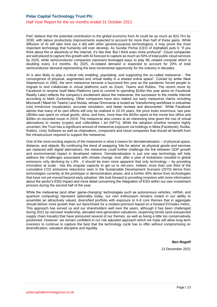PwC believe that the potential contribution to the global economy from AI could be as much as \$15.7trn by 2030, with labour productivity improvements expected to account for more than half of these gains. While diffusion of AI will take time (as it did with other general-purpose technologies), it may prove the most important technology that humanity will ever develop. As Sundar Pichai (CEO of Alphabet) puts it, "if you think about fire or electricity or the internet, it's like that. But I think even more profound". Cloud companies are well placed to capture this growth with AI forecast to capture as much as 50% of total public cloud services by 2025, while semiconductor companies represent leveraged ways to play ML-related compute which is doubling every 3.4 months. By 2025, AI-related demand is expected to account for 20% of total semiconductor demand representing the best incremental opportunity for the industry in decades.

AI is also likely to play a critical role enabling, populating, and supporting the so-called metaverse - "the convergence of physical, augmented and virtual reality in a shared online space". Coined by writer Neal Stephenson in 1992, the term metaverse became a buzzword this year as the pandemic forced people to migrate to and collaborate in virtual platforms such as Zoom, Teams and Roblox. The recent move by Facebook to rename itself Meta Platforms (and to commit to spending \$10bn this year alone on Facebook Reality Labs) reflects the company's excitement about the metaverse, the successor to the mobile internet according to Mark Zuckerberg. Other companies have also staked out early metaverse claims including Microsoft ('Mesh for Teams') and Nvidia, whose Omniverse is touted as "transforming workflows in industries (via) immersive visualization, accurate simulation, and faster reviews and discoveries". While Facebook admits that many of its own efforts will only be realised in 10-15 years, the prize looks enormous; last year c\$54bn was spent on virtual goods, skins, and lives, more than the \$42bn spent at the movie box office and \$30bn on recorded music in 2019. The metaverse also comes at an interesting time given the rise of virtual alternatives to money (crypto) and collectibles / art (NFTs). While the adoption timeline remains highly uncertain, the Trust has a significant amount of metaverse exposure via holdings in Meta (Facebook), Nvidia, Roblox, Unity Software as well as chipmakers, component and cloud companies that should all benefit from the infrastructure required to support the metaverse.

One of the most exciting aspects of the metaverse is what it means for dematerialisation – of physical space, distance, and objects. By continuing the trend of swapping 'bits for atoms' as physical goods and services are replaced with digital alternatives, the metaverse could further challenge the link between GDP growth and environmental impact in developed nations. Dematerialisation is just one way technology will help address the challenges associated with climate change. And, after a year of lockdowns resulted in global emissions only declining by c.6% , it should be even more apparent that only technology – by providing innovation at scale - has the singular capacity to get us to net-zero. Indeed, more than one third of the cumulative CO2 emissions reductions seen in the Sustainable Development Scenario (2070) derive from technologies currently at the prototype or demonstration phase, and a further 40% derive from technologies that have not yet moved beyond early adoption. We look forward to providing investors with more information about the sector's ESG impact and more detail concerning the integration of ESG within our own investment process during the second half of the year.

While the metaverse (and other 'game-changing' technologies such as autonomous vehicles, mRNA, and quantum computing) represent optionality today, our own enthusiasm remains rooted in our ability to assemble an attractively valued, diversified portfolio with exposure to 6-8 core themes that in aggregate should deliver more growth than our benchmark for a modest premium based on a forward EV/sales metric. This approach has served us and our shareholders well over the years, although it has been challenged during 2021 by narrower leadership, elevated next-generation valuations, reopening trends (and unexpected supply chain travails) that have pressured several of our themes, as well as being a little too conservatively positioned. However, we remain confident in our risk adjusted approach which we hope will allow long-term investors to continue to capture the best that the technology cycle has to offer without compromising on diversification, valuation discipline and liquidity.

**Ben Rogoff**

13 December 2021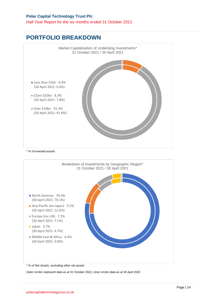Half Year Report for the six months ended 31 October 2021

## **PORTFOLIO BREAKDOWN**



*Outer circles represent data as at 31 October 2021, inner circles data as at 30 April 2021*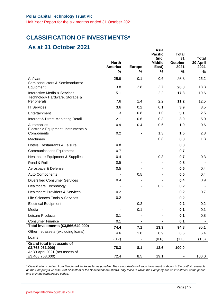Half Year Report for the six months ended 31 October 2021

### **CLASSIFICATION OF INVESTMENTS\***

### **As at 31 October 2021**

| <b>AS ALSI UGIUNGI ZUZI</b>                                                   | <b>North</b><br><b>America</b> | <b>Europe</b> | Asia<br><b>Pacific</b><br>(inc.<br><b>Middle</b><br>East) | <b>Total</b><br>31<br>October<br>2021 | <b>Total</b><br>30 April<br>2021 |
|-------------------------------------------------------------------------------|--------------------------------|---------------|-----------------------------------------------------------|---------------------------------------|----------------------------------|
|                                                                               | %                              | %             | $\%$                                                      | %                                     | %                                |
| Software<br>Semiconductors & Semiconductor                                    | 25.9                           | 0.1           | 0.6                                                       | 26.6                                  | 25.2                             |
| Equipment                                                                     | 13.8                           | 2.8           | 3.7                                                       | 20.3                                  | 18.3                             |
| Interactive Media & Services<br>Technology Hardware, Storage &<br>Peripherals | 15.1<br>7.6                    | 1.4           | 2.2<br>2.2                                                | 17.3<br>11.2                          | 19.6<br>12.5                     |
| <b>IT Services</b>                                                            | 3.6                            | 0.2           | 0.1                                                       | 3.9                                   | 3.5                              |
|                                                                               | 1.3                            |               | 1.0                                                       | 3.1                                   |                                  |
| Entertainment                                                                 |                                | 0.8           |                                                           |                                       | 2.5                              |
| Internet & Direct Marketing Retail                                            | 2.1                            | 0.6           | 0.3                                                       | 3.0                                   | 5.0                              |
| Automobiles<br>Electronic Equipment, Instruments &                            | 0.9                            | 0.4           | 0.6                                                       | 1.9                                   | 0.6                              |
| Components                                                                    | 0.2                            | ۰             | 1.3                                                       | 1.5                                   | 2.8                              |
| Machinery                                                                     |                                |               | 0.8                                                       | 0.8                                   | 1.3                              |
| Hotels, Restaurants & Leisure                                                 | 0.8                            |               |                                                           | 0.8                                   |                                  |
| <b>Communications Equipment</b>                                               | 0.7                            |               |                                                           | 0.7                                   |                                  |
| <b>Healthcare Equipment &amp; Supplies</b>                                    | 0.4                            |               | 0.3                                                       | 0.7                                   | 0.3                              |
| Road & Rail                                                                   | 0.5                            |               |                                                           | 0.5                                   |                                  |
| Aerospace & Defense                                                           | 0.5                            |               |                                                           | 0.5                                   | 0.4                              |
| Auto Components                                                               |                                | 0.5           |                                                           | 0.5                                   | 0.4                              |
| <b>Diversified Consumer Services</b>                                          | 0.4                            | ۰             |                                                           | 0.4                                   | 0.9                              |
| <b>Healthcare Technology</b>                                                  |                                |               | 0.2                                                       | 0.2                                   |                                  |
| <b>Healthcare Providers &amp; Services</b>                                    | 0.2                            |               |                                                           | 0.2                                   | 0.7                              |
| Life Sciences Tools & Services                                                | 0.2                            |               |                                                           | 0.2                                   |                                  |
| <b>Electrical Equipment</b>                                                   |                                | 0.2           |                                                           | 0.2                                   | 0.2                              |
| Media                                                                         |                                | 0.1           |                                                           | 0.1                                   | 0.1                              |
| Leisure Products                                                              | 0.1                            |               |                                                           | 0.1                                   | 0.8                              |
| <b>Consumer Finance</b>                                                       | 0.1                            |               |                                                           | 0.1                                   |                                  |
| Total investments (£3,566,649,000)                                            | 74.4                           | 7.1           | 13.3                                                      | 94.8                                  | 95.1                             |
| Other net assets (excluding loans)                                            | 4.6                            | 1.0           | 0.9                                                       | 6.5                                   | 6.4                              |
| Loans                                                                         | (0.7)                          | -             | (0.6)                                                     | (1.3)                                 | (1.5)                            |
| Grand total (net assets of<br>£3,763,061,000)                                 | 78.3                           | 8.1           | 13.6                                                      | 100.0                                 |                                  |
| At 30 April 2021 (net assets of<br>£3,408,763,000)                            | 72.4                           | 8.5           | 19.1                                                      |                                       | 100.0                            |

*\* Classifications derived from Benchmark Index as far as possible. The categorisation of each investment is shown in the portfolio available on the Company's website. Not all sectors of the Benchmark are shown, only those in which the Company has an investment at the period end or in the comparative period.*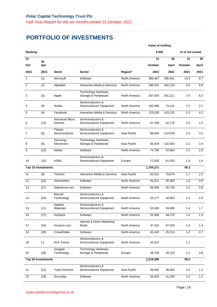# **PORTFOLIO OF INVESTMENTS**

|         |                    |                                  | Value of holding                              |               |           |         |                 |       |
|---------|--------------------|----------------------------------|-----------------------------------------------|---------------|-----------|---------|-----------------|-------|
| Ranking |                    |                                  |                                               |               | £'000     |         | % of net assets |       |
| 31      |                    |                                  |                                               |               | 31        | 30      | 31              | 30    |
| Oct     | 30<br>Apr          |                                  |                                               |               | October   | April   | October         | April |
| 2021    | 2021               | <b>Stock</b>                     | <b>Sector</b>                                 | Region*       | 2021      | 2021    | 2021            | 2021  |
| 1       | (1)                | Microsoft                        | Software                                      | North America | 396,067   | 296,561 | 10.5            | 8.7   |
| 2       | $\overline{(2)}$   | Alphabet                         | Interactive Media & Services                  | North America | 340,531   | 292,143 | 9.0             | 8.6   |
| 3       | (3)                | Apple                            | Technology Hardware,<br>Storage & Peripherals | North America | 287,554   | 281,211 | 7.6             | 8.2   |
| 4       | (9)                | Nvidia                           | Semiconductors &<br>Semiconductor Equipment   | North America | 140,466   | 74,141  | 3.7             | 2.2   |
| 5       | (4)                | Facebook                         | Interactive Media & Services                  | North America | 123,026   | 143,131 | 3.3             | 4.2   |
| 6       | (13)               | <b>Advanced Micro</b><br>Devices | Semiconductors &<br>Semiconductor Equipment   | North America | 97,438    | 52,175  | 2.6             | 1.5   |
| 7       | (6)                | Taiwan<br>Semiconductor          | Semiconductors &<br>Semiconductor Equipment   | Asia Pacific  | 88,460    | 110,029 | 2.4             | 3.2   |
| 8       | (5)                | Samsung<br>Electronics           | Technology Hardware,<br>Storage & Peripherals | Asia Pacific  | 83,919    | 115,503 | 2.2             | 3.4   |
| 9       | (12)               | Adobe                            | Software                                      | North America | 74,790    | 53,963  | 2.1             | 1.6   |
| 10      | (10)               | ASML                             | Semiconductors &<br>Semiconductor Equipment   | Europe        | 72,020    | 61,023  | 1.9             | 1.8   |
|         | Top 10 investments |                                  |                                               |               | 1,704,271 |         | 45.3            |       |
| 11      | (8)                | Tencent                          | Interactive Media & Services                  | Asia Pacific  | 62,621    | 78,674  | 1.7             | 2.3   |
| 12      | (22)               | ServiceNow                       | Software                                      | North America | 61,011    | 30,463  | 1.6             | 0.9   |
| 13      | (27)               | Salesforce.com                   | Software                                      | North America | 56,946    | 25,730  | 1.5             | 0.8   |
| 14      | (44)               | Marvell<br>Technology            | Semiconductors &<br>Semiconductor Equipment   | North America | 53,177    | 16,803  | 1.4             | 0.5   |
| 15      | (11)               | Applied<br>Materials             | Semiconductors &<br>Semiconductor Equipment   | North America | 53,065    | 59,068  | 1.4             | 1.7   |
| 16      | (17)               | HubSpot                          | Software                                      | North America | 52,906    | 44,270  | 1.4             | 1.3   |
| 17      | (15)               | Amazon.com                       | Internet & Direct Marketing<br>Retail         | North America | 47,331    | 47,029  | 1.3             | 1.4   |
| 18      | (28)               | CrowdStrike                      | Software                                      | North America | 45,442    | 25,213  | 1.2             | 0.7   |
| 19      | $(\cdot)$          | <b>KLA Tencor</b>                | Semiconductors &<br>Semiconductor Equipment   | North America | 42,912    |         | 1.1             |       |
| 20      | (26)               | Seagate<br>Technology            | Technology Hardware,<br>Storage & Peripherals | Europe        | 38,704    | 28,123  | 1.1             | 0.8   |
|         | Top 20 investments |                                  |                                               |               | 2,218,386 |         | 59.0            |       |
| 21      | (21)               | <b>Toyko Electron</b>            | Semiconductors &<br>Semiconductor Equipment   | Asia Pacific  | 38,491    | 38,083  | 1.0             | 1.1   |
| 22      | (19)               | DocuSign                         | Software                                      | North America | 36,920    | 41,230  | 1.0             | 1.2   |
|         |                    |                                  |                                               |               |           |         |                 |       |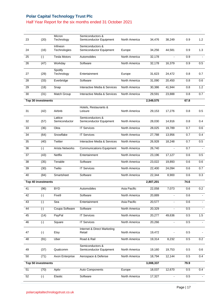#### Half Year Report for the six months ended 31 October 2021

| 23 | (20)               | Micron<br>Technology     | Semiconductors &<br>Semiconductor Equipment | North America | 34,476    | 38,249         | 0.9  | 1.2            |
|----|--------------------|--------------------------|---------------------------------------------|---------------|-----------|----------------|------|----------------|
| 24 | (16)               | Infineon<br>Technologies | Semiconductors &<br>Semiconductor Equipment | Europe        | 34,256    | 44,581         | 0.9  | 1.3            |
| 25 | $(\cdot)$          | <b>Tesla Motors</b>      | Automobiles                                 | North America | 32,178    |                | 0.9  |                |
| 26 | (47)               | Workday                  | Software                                    | North America | 32,178    | 16,379         | 0.9  | 0.5            |
| 27 | (29)               | Spotify<br>Technology    | Entertainment                               | Europe        | 31,623    | 24,472         | 0.8  | 0.7            |
| 28 | (33)               | Everbridge               | Software                                    | North America | 31,090    | 20,450         | 0.8  | 0.6            |
| 29 | (18)               | Snap                     | Interactive Media & Services                | North America | 30,386    | 41,944         | 0.8  | 1.2            |
| 30 | (31)               | Match Group              | Interactive Media & Services                | North America | 29,591    | 23,888         | 0.8  | 0.7            |
|    | Top 30 investments |                          |                                             |               | 2,549,575 |                | 67.8 |                |
| 31 | (42)               | Airbnb                   | Hotels, Restaurants &<br>Leisure            | North America | 29,153    | 17,276         | 0.8  | 0.5            |
| 32 | (57)               | Lattice<br>Semiconductor | Semiconductors &<br>Semiconductor Equipment | North America | 28,030    | 14,916         | 0.8  | 0.4            |
| 33 | (36)               | Okta                     | <b>IT Services</b>                          | North America | 28,025    | 19,789         | 0.7  | 0.6            |
| 34 | (64)               | Snowflake                | <b>IT Services</b>                          | North America | 27,788    | 13,956         | 0.7  | 0.4            |
| 35 | (40)               | Twitter                  | Interactive Media & Services                | North America | 26,928    | 18,248         | 0.7  | 0.5            |
| 36 | $(\cdot)$          | <b>Arista Networks</b>   | <b>Communications Equipment</b>             | North America | 26,740    | $\blacksquare$ | 0.7  |                |
| 37 | (43)               | Netflix                  | Entertainment                               | North America | 23,196    | 17,127         | 0.6  | 0.5            |
| 38 | (35)               | Tenable                  | Software                                    | North America | 23,022    | 19,893         | 0.6  | 0.6            |
| 39 | (30)               | Twilio                   | <b>IT Services</b>                          | North America | 22,400    | 24,094         | 0.6  | 0.7            |
| 40 | (84)               | Smartsheet               | Software                                    | North America | 22,344    | 8,900          | 0.6  | 0.3            |
|    | Top 40 investments |                          |                                             |               | 2,807,201 |                | 74.6 |                |
| 41 | (96)               | <b>BYD</b>               | Automobiles                                 | Asia Pacific  | 22,058    | 7,073          | 0.6  | 0.2            |
| 42 | $(\textnormal{-})$ | Five9                    | Software                                    | North America | 20,889    |                | 0.6  |                |
| 43 | $(\cdot)$          | Sea                      | Entertainment                               | Asia Pacific  | 20,577    | $\mathbf{r}$   | 0.6  | $\blacksquare$ |
| 44 | $(\cdot)$          | Coupa Software           | Software                                    | North America | 20,329    |                | 0.5  |                |
| 45 | (14)               | PayPal                   | <b>IT Services</b>                          | North America | 20,277    | 49,636         | 0.5  | 1.5            |
| 46 | $(\cdot)$          | Square                   | <b>IT Services</b>                          | North America | 20,266    |                | 0.5  |                |
| 47 | $(\cdot)$          | Etsy                     | Internet & Direct Marketing<br>Retail       | North America | 19,472    |                | 0.5  |                |
| 48 | (91)               | Uber                     | Road & Rail                                 | North America | 19,314    | 8,232          | 0.5  | 0.2            |
| 49 | (37)               | Qualcomm                 | Semiconductors &<br>Semiconductor Equipment | North America | 19,160    | 19,753         | 0.5  | 0.6            |
| 50 | (71)               | Axon Enterprise          | Aerospace & Defense                         | North America | 18,794    | 12,144         | 0.5  | 0.4            |
|    | Top 50 investments |                          |                                             |               | 3,008,337 |                | 79.9 |                |
|    |                    |                          |                                             |               |           | 12,670         |      | 0.4            |
| 51 | (70)               | Aptiv                    | Auto Components                             | Europe        | 18,037    |                | 0.5  |                |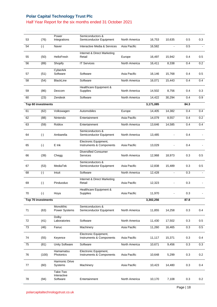#### Half Year Report for the six months ended 31 October 2021

| 53 | (76)               | Power<br>Integrations               | Semiconductors &<br>Semiconductor Equipment       | North America | 16,753    | 10,635         | 0.5  | 0.3          |
|----|--------------------|-------------------------------------|---------------------------------------------------|---------------|-----------|----------------|------|--------------|
| 54 | $(\cdot)$          | Naver                               | Interactive Media & Services                      | Asia Pacific  | 16,582    |                | 0.5  |              |
| 55 | (50)               | HelloFresh                          | Internet & Direct Marketing<br>Retail             | Europe        | 16,497    | 15,942         | 0.4  | 0.5          |
| 56 | (89)               | Shopify                             | <b>IT Services</b>                                | North America | 16,411    | 8,338          | 0.4  | 0.2          |
| 57 | (51)               | CyberArk<br>Software                | Software                                          | Asia Pacific  | 16,146    | 15,768         | 0.4  | 0.5          |
| 58 | (54)               | <b>BlackLine</b>                    | Software                                          | North America | 16,071    | 15,443         | 0.4  | 0.4          |
| 59 | (86)               | Dexcom                              | Healthcare Equipment &<br>Supplies                | North America | 14,502    | 8,756          | 0.4  | 0.3          |
| 60 | (23)               | Zendesk                             | Software                                          | North America | 14,422    | 30,294         | 0.4  | 0.9          |
|    | Top 60 investments |                                     |                                                   |               | 3,171,085 |                | 84.3 |              |
| 61 | (62)               | Volkswagen                          | Automobiles                                       | Europe        | 14,405    | 14,382         | 0.4  | 0.4          |
| 62 | (88)               | Nintendo                            | Entertainment                                     | Asia Pacific  | 14,079    | 8,557          | 0.4  | 0.2          |
| 63 | (59)               | Roblox                              | Entertainment                                     | North America | 13,646    | 14,585         | 0.4  | 0.4          |
| 64 | $(\cdot)$          | Ambarella                           | Semiconductors &<br>Semiconductor Equipment       | North America | 13,485    |                | 0.4  |              |
| 65 | $(\cdot)$          | E Ink                               | Electronic Equipment,<br>Instruments & Components | Asia Pacific  | 13,029    |                | 0.4  |              |
| 66 | (39)               | Chegg                               | <b>Diversified Consumer</b><br>Services           | North America | 12,968    | 18,973         | 0.3  | 0.5          |
| 67 | (53)               | MediaTek                            | Semiconductors &<br>Semiconductor Equipment       | Asia Pacific  | 12,838    | 15,489         | 0.3  | 0.5          |
| 68 | $(\cdot)$          | Intuit                              | Software                                          | North America | 12,428    | $\blacksquare$ | 0.3  | $\mathbf{r}$ |
| 69 | $(\cdot)$          | Pinduoduo                           | Internet & Direct Marketing<br>Retail             | Asia Pacific  | 12,323    |                | 0.3  |              |
| 70 | $(\cdot)$          | Hoya                                | Healthcare Equipment &<br>Supplies                | Asia Pacific  | 11,970    |                | 0.3  |              |
|    | Top 70 investments |                                     |                                                   |               | 3,302,256 |                | 87.8 |              |
| 71 | (63)               | Monolithic<br>Power Systems         | Semiconductors &<br>Semiconductor Equipment       | North America | 11,855    | 14,258         | 0.3  | 0.4          |
| 72 | (41)               | Dolby<br>Laboratories               | Software                                          | North America | 11,430    | 17,502         | 0.3  | 0.5          |
| 73 | (46)               | Fanuc                               | Machinery                                         | Asia Pacific  | 11,260    | 16,465         | 0.3  | 0.5          |
| 74 | (55)               | Keyence                             | Electronic Equipment,<br>Instruments & Components | Asia Pacific  | 11,117    | 15,371         | 0.3  | 0.4          |
| 75 | (81)               | Unity Software                      | Software                                          | North America | 10,671    | 9,456          | 0.3  | 0.3          |
| 76 | (100)              | Hamamatsu<br>Photonics              | Electronic Equipment,<br>Instruments & Components | Asia Pacific  | 10,648    | 5,299          | 0.3  | 0.2          |
| 77 | (60)               | Harmonic Drive<br>Systems           | Machinery                                         | Asia Pacific  | 10,423    | 14,480         | 0.3  | 0.4          |
| 78 | (94)               | Take-Two<br>Interactive<br>Software | Entertainment                                     | North America | 10,170    | 7,108          | 0.3  | 0.2          |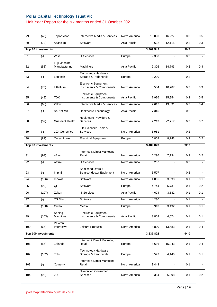#### Half Year Report for the six months ended 31 October 2021

| 79  | (48)                | TripAdvisor                   | Interactive Media & Services                      | North America | 10,090    | 16,227         | 0.3  | 0.5            |
|-----|---------------------|-------------------------------|---------------------------------------------------|---------------|-----------|----------------|------|----------------|
| 80  | (72)                | Atlassian                     | Software                                          | Asia Pacific  | 9,622     | 12,115         | 0.2  | 0.3            |
|     | Top 80 investments  |                               |                                                   |               | 3,409,542 |                | 90.7 |                |
| 81  | $(\cdot)$           | Wise                          | <b>IT Services</b>                                | Europe        | 9,330     | $\mathbf{r}$   | 0.2  | $\blacksquare$ |
| 82  | (58)                | Fuji Machine<br>Manufacturing | Machinery                                         | Asia Pacific  | 9,326     | 14,793         | 0.2  | 0.4            |
| 83  | $(\cdot)$           | Logitech                      | Technology Hardware,<br>Storage & Peripherals     | Europe        | 9,220     |                | 0.2  |                |
| 84  | (75)                | Littelfuse                    | Electronic Equipment,<br>Instruments & Components | North America | 8,584     | 10,787         | 0.2  | 0.3            |
| 85  | (49)                | <b>TDK</b>                    | Electronic Equipment,<br>Instruments & Components | Asia Pacific  | 7,936     | 15,954         | 0.2  | 0.5            |
| 86  | (68)                | Zillow                        | Interactive Media & Services                      | North America | 7,617     | 13,091         | 0.2  | 0.4            |
| 87  | $(\cdot)$           | So-Net M3                     | <b>Healthcare Technology</b>                      | Asia Pacific  | 7,346     | $\blacksquare$ | 0.2  | $\blacksquare$ |
| 88  | (32)                | <b>Guardant Health</b>        | <b>Healthcare Providers &amp;</b><br>Services     | North America | 7,213     | 22,717         | 0.2  | 0.7            |
| 89  | $(\cdot)$           | 10X Genomics                  | Life Sciences Tools &<br>Services                 | North America | 6,951     |                | 0.2  |                |
| 90  | (87)                | <b>Ceres Power</b>            | <b>Electrical Equipment</b>                       | Europe        | 6,808     | 8,743          | 0.2  | 0.2            |
|     | Top 90 investments  |                               |                                                   |               | 3,489,873 |                | 92.7 |                |
| 91  | (93)                | eBay                          | Internet & Direct Marketing<br>Retail             | North America | 6,296     | 7,134          | 0.2  | 0.2            |
| 92  | $(\cdot)$           | Affirm                        | <b>IT Services</b>                                | North America | 6,207     | $\blacksquare$ | 0.2  | $\mathbf{r}$   |
| 93  | $(\cdot)$           | Impinj                        | Semiconductors &<br>Semiconductor Equipment       | North America | 5,507     |                | 0.2  |                |
| 94  | (106)               | Kinaxis                       | Software                                          | North America | 4,805     | 3,593          | 0.1  | 0.1            |
| 95  | (99)                | Qt                            | Software                                          | Europe        | 4,744     | 5,731          | 0.1  | 0.2            |
| 96  | (107)               | Zuken                         | <b>IT Services</b>                                | Asia Pacific  | 4,624     | 3,582          | 0.1  | 0.1            |
| 97  | $(\cdot)$           | CS Disco                      | Software                                          | North America | 4,230     |                | 0.1  | $\blacksquare$ |
| 98  | (108)               | Criteo                        | Media                                             | Europe        | 3,913     | 3,492          | 0.1  | 0.1            |
| 99  | (103)               | Seeing<br>Machines            | Electronic Equipment,<br>Instruments & Components | Asia Pacific  | 3,803     | 4,074          | 0.1  | 0.1            |
| 100 | (66)                | Peloton<br>Interactive        | Leisure Products                                  | North America | 3,800     | 13,683         | 0.1  | 0.4            |
|     | Top 100 investments |                               |                                                   |               | 3,537,802 |                | 94.0 |                |
| 101 | (56)                | Zalando                       | Internet & Direct Marketing<br>Retail             | Europe        | 3,636     | 15,043         | 0.1  | 0.4            |
| 102 | (102)               | Tobii                         | Technology Hardware,<br>Storage & Peripherals     | Europe        | 3,593     | 4,140          | 0.1  | 0.1            |
| 103 | $(\cdot)$           | Xometry                       | Internet & Direct Marketing<br>Retail             | North America | 3,443     |                | 0.1  |                |
| 104 | (98)                | 2U                            | <b>Diversified Consumer</b><br>Services           | North America | 3,354     | 6,098          | 0.1  | 0.2            |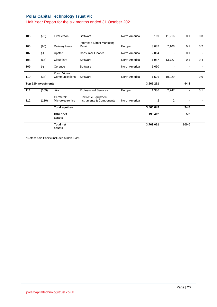#### Half Year Report for the six months ended 31 October 2021

|     |                     | <b>Total net</b><br>assets   |                                                   |               | 3,763,061 |                | 100.0          |                          |
|-----|---------------------|------------------------------|---------------------------------------------------|---------------|-----------|----------------|----------------|--------------------------|
|     |                     | assets                       |                                                   |               |           |                |                |                          |
|     |                     | Other net                    |                                                   |               | 196,412   |                | 5.2            |                          |
|     |                     | <b>Total equities</b>        |                                                   |               | 3,566,649 |                | 94.8           |                          |
| 112 | (110)               | Cermetek<br>Microelectronics | Electronic Equipment,<br>Instruments & Components | North America | 2         | 2              |                |                          |
| 111 | (109)               | ilika                        | <b>Professional Services</b>                      | Europe        | 1,386     | 2,747          | $\sim$         | 0.1                      |
|     | Top 110 investments |                              |                                                   |               | 3,565,261 |                | 94.8           |                          |
| 110 | (38)                | Zoom Video<br>Communications | Software                                          | North America | 1,501     | 19,029         | ۰              | 0.6                      |
| 109 | $(\cdot)$           | Cerence                      | Software                                          | North America | 1,630     | $\blacksquare$ | $\blacksquare$ | $\overline{\phantom{0}}$ |
| 108 | (65)                | Cloudflare                   | Software                                          | North America | 1,987     | 13,727         | 0.1            | 0.4                      |
| 107 | $(\cdot)$           | Upstart                      | <b>Consumer Finance</b>                           | North America | 2,064     | $\overline{a}$ | 0.1            | $\blacksquare$           |
| 106 | (95)                | Delivery Hero                | Internet & Direct Marketing<br>Retail             | Europe        | 3,082     | 7,106          | 0.1            | 0.2                      |
| 105 | (73)                | LivePerson                   | Software                                          | North America | 3,169     | 11,216         | 0.1            | 0.3                      |

\*Notes: Asia Pacific includes Middle East.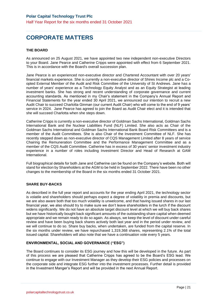# **CORPORATE MATTERS**

#### **THE BOARD**

As announced on 25 August 2021, we have appointed two new independent non-executive Directors to your Board. Jane Pearce and Catherine Cripps were appointed with effect from 6 September 2021. This is in accordance with the Board's overall succession plan.

Jane Pearce is an experienced non-executive director and Chartered Accountant with over 20 years' financial markets experience. She is currently a non-executive director of Shires Income plc and a Coopted External Member of the Audit and Risk Committee of the University of St Andrews. Jane has a number of years' experience as a Technology Equity Analyst and as an Equity Strategist at leading investment banks. She has strong and recent understanding of corporate governance and current accounting standards. As mentioned in my Chair's statement in the Company's Annual Report and Financial Statements for the year ended 30 April 2021, we announced our intention to recruit a new Audit Chair to succeed Charlotta Ginman (our current Audit Chair) who will come to the end of 9 years' service in 2024. Jane Pearce has agreed to join the Board as Audit Chair elect and it is intended that she will succeed Charlotta when she steps down.

Catherine Cripps is currently a non-executive director of Goldman Sachs International, Goldman Sachs International Bank and the Nuclear Liabilities Fund (NLF) Limited. She also acts as Chair of the Goldman Sachs International and Goldman Sachs International Bank Board Risk Committees and is a member of the Audit Committees. She is also Chair of the Investment Committee of NLF. She has recently stepped down as non-executive director of CQS Management Limited after 8 years of service Chairing the Remuneration Committee and the Performance Management Committee and as a member of the CQS Audit Committee. Catherine has in excess of 30 years' senior investment industry experience in a number of roles including Investment Director and Head of Research at GAM **International** 

Full biographical details for both Jane and Catherine can be found on the Company's website. Both will stand for election by Shareholders at the AGM to be held in September 2022. There have been no other changes to the membership of the Board in the six months ended 31 October 2021.

#### **SHARE BUY-BACKS**

As described in the full year report and accounts for the year ending April 2021, the technology sector is volatile and shareholders should perhaps expect a degree of volatility in premia and discounts, but we are also aware both that too much volatility is unwelcome, and that having issued shares in our last financial year, we also should try to make sure we don't leave shareholders in the lurch if the discount widens significantly. We do not have an absolute target discount level at which we will buy back shares but we have historically bought back significant amounts of the outstanding share capital when deemed appropriate and we remain ready to do so again. As always, we keep the level of discount under careful review and have been buying back shares actively both last year and in the period under review, and we will continue to do so. Share buy backs, when undertaken, are funded from the capital reserve. In the six months under review, we have repurchased 1,319,368 shares, representing 2.1% of the total issued capital. Shareholders will also note that we have a continuation vote every 5 years.

#### **ENVIRONMENTAL, SOCIAL AND GOVERNANCE ("ESG")**

The Board continues to consider its ESG journey and how this will be developed in the future. As part of this process we are pleased that Catherine Cripps has agreed to be the Board's ESG lead. We continue to engage with our Investment Manager as they develop their ESG policies and processes on the corporate side and integrate ESG further into the investment processes. Further detail is provided in the Investment Manger's Report and will be provided in the next Annual Report.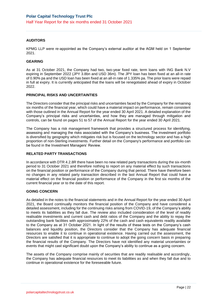#### **AUDITORS**

KPMG LLP were re-appointed as the Company's external auditor at the AGM held on 1 September 2021.

#### **GEARING**

As at 31 October 2021, the Company had two, two-year fixed rate, term loans with ING Bank N.V expiring in September 2022 (JPY 3.8bn and USD 36m). The JPY loan has been fixed at an all-in rate of 0.90% pa and the USD loan has been fixed at an all-in rate of 1.335% pa. The prior loans were repaid in full at expiry. It is currently anticipated that the loans will be renegotiated ahead of expiry in October 2022.

#### **PRINCIPAL RISKS AND UNCERTAINTIES**

The Directors consider that the principal risks and uncertainties faced by the Company for the remaining six months of the financial year, which could have a material impact on performance, remain consistent with those outlined in the Annual Report for the year ended 30 April 2021. A detailed explanation of the Company's principal risks and uncertainties, and how they are managed through mitigation and controls, can be found on pages 51 to 57 of the Annual Report for the year ended 30 April 2021.

The Company has a risk management framework that provides a structured process for identifying, assessing and managing the risks associated with the Company's business. The investment portfolio is diversified by geography which mitigates risk but is focused on the technology sector and has a high proportion of non-Sterling investments. Further detail on the Company's performance and portfolio can be found in the Investment Managers' Review.

#### **RELATED PARTY TRANSACTIONS**

In accordance with DTR 4.2.8R there have been no new related party transactions during the six-month period to 31 October 2021 and therefore nothing to report on any material effect by such transactions on the financial position or performance of the Company during that period. There have therefore been no changes in any related party transaction described in the last Annual Report that could have a material effect on the financial position or performance of the Company in the first six months of the current financial year or to the date of this report.

#### **GOING CONCERN**

As detailed in the notes to the financial statements and in the Annual Report for the year ended 30 April 2021, the Board continually monitors the financial position of the Company and have considered a detailed assessment, including for the continuing risks arising from COVID-19, of the Company's ability to meets its liabilities as they fall due. The review also included consideration of the level of readily realisable investments and current cash and debt ratios of the Company and the ability to repay the outstanding bank facilities with approximately 22% of the cash and cash equivalents readily available to the Company as at 31 October 2021. In light of the results of these tests on the Company's cash balances and liquidity position, the Directors consider that the Company has adequate financial resources to enable it to continue in operational existence. Having carried out the assessment, the Directors are satisfied that it is appropriate to continue to adopt the going concern basis in preparing the financial results of the Company. The Directors have not identified any material uncertainties or events that might cast significant doubt upon the Company's ability to continue as a going concern.

The assets of the Company comprise mainly of securities that are readily realisable and accordingly, the Company has adequate financial resources to meet its liabilities as and when they fall due and to continue in operational existence for the foreseeable future.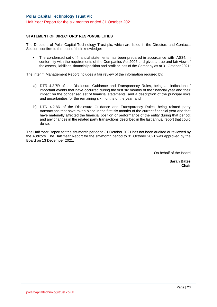#### **STATEMENT OF DIRECTORS' RESPONSIBILITIES**

The Directors of Polar Capital Technology Trust plc, which are listed in the Directors and Contacts Section, confirm to the best of their knowledge:

• The condensed set of financial statements has been prepared in accordance with IAS34, in conformity with the requirements of the Companies Act 2006 and gives a true and fair view of the assets, liabilities, financial position and profit or loss of the Company as at 31 October 2021;

The Interim Management Report includes a fair review of the information required by:

- a) DTR 4.2.7R of the Disclosure Guidance and Transparency Rules, being an indication of important events that have occurred during the first six months of the financial year and their impact on the condensed set of financial statements; and a description of the principal risks and uncertainties for the remaining six months of the year; and
- b) DTR 4.2.8R of the Disclosure Guidance and Transparency Rules, being related party transactions that have taken place in the first six months of the current financial year and that have materially affected the financial position or performance of the entity during that period; and any changes in the related party transactions described in the last annual report that could do so.

The Half Year Report for the six-month period to 31 October 2021 has not been audited or reviewed by the Auditors. The Half Year Report for the six-month period to 31 October 2021 was approved by the Board on 13 December 2021.

On behalf of the Board

**Sarah Bates Chair**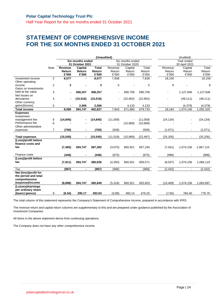Half Year Report for the six months ended 31 October 2021

### **STATEMENT OF COMPREHENSIVE INCOME FOR THE SIX MONTHS ENDED 31 OCTOBER 2021**

|                                   |                |                |                         |              | (Unaudited)      |                 |           |           | (Audited)      |           |
|-----------------------------------|----------------|----------------|-------------------------|--------------|------------------|-----------------|-----------|-----------|----------------|-----------|
|                                   |                |                | <b>Six months ended</b> |              | Six months ended |                 |           |           | Year ended     |           |
|                                   |                |                | 31 October 2021         |              |                  | 31 October 2020 |           |           | 30 April 2021  |           |
|                                   | <b>Note</b>    | Revenue        | Capital                 | <b>Total</b> | Revenue          | Capital         | Total     | Revenue   | Capital        | Total     |
|                                   |                | Return         | Return                  | Return       | Return           | Return          | Return    | Return    | Return         | Return    |
|                                   |                | £'000          | £'000                   | £'000        | £'000            | £'000           | £'000     | £'000     | £'000          | £'000     |
| Investment income                 | $\overline{2}$ | 8,077          |                         | 8,077        | 7,838            |                 | 7,838     | 18,156    |                | 18,156    |
| Other operating                   |                |                |                         |              |                  |                 |           |           |                |           |
| income                            | $\overline{2}$ | 3              |                         | 3            | 5                |                 | 5         | 8         |                | 8         |
| Gains on investments              |                |                |                         |              |                  |                 |           |           |                |           |
| held at fair value                | 3              | $\blacksquare$ | 408,257                 | 408,257      |                  | 690,709         | 690,709   |           | 1,127,646      | 1,127,646 |
| Net losses on                     |                |                |                         |              |                  |                 |           |           |                |           |
| derivatives                       | 4              | ۰              | (15, 516)               | (15, 516)    |                  | (22, 952)       | (22, 952) |           | (49, 111)      | (49, 111) |
| Other currency                    |                |                |                         |              |                  |                 |           |           |                |           |
| gains/(losses)                    | 5              |                | 2,006                   | 2,006        |                  | 4,133           | 4,133     |           | (4, 379)       | (4,379)   |
| <b>Total income</b>               |                | 8,080          | 394,747                 | 402,827      | 7,843            | 671,890         | 679,733   | 18,164    | 1,074,156      | 1,092,320 |
| <b>Expenses</b>                   |                |                |                         |              |                  |                 |           |           |                |           |
| Investment                        |                |                |                         |              |                  |                 |           |           |                |           |
| management fee<br>Performance fee | 6              | (14, 845)      |                         | (14, 845)    | (11,009)         |                 | (11,009)  | (24, 134) |                | (24, 134) |
|                                   | 6              |                |                         |              |                  | (10, 969)       | (10, 969) |           |                |           |
| Other administrative              | $\overline{7}$ | (700)          |                         | (700)        | (509)            |                 |           |           |                |           |
| expenses                          |                |                |                         |              |                  |                 | (509)     | (1,071)   |                | (1,071)   |
| <b>Total expenses</b>             |                | (15, 545)      | $\blacksquare$          | (15, 545)    | (11, 518)        | (10, 969)       | (22, 487) | (25, 205) |                | (25, 205) |
| (Loss)/profit before              |                |                |                         |              |                  |                 |           |           |                |           |
| finance costs and                 |                |                |                         |              |                  |                 |           |           |                |           |
| tax                               |                | (7, 465)       | 394,747                 | 387,282      | (3,675)          | 660,921         | 657,246   | (7,041)   | 1,074,156      | 1,067,115 |
|                                   |                |                |                         |              |                  |                 |           |           |                |           |
| Finance costs                     |                | (446)          |                         | (446)        | (675)            |                 | (675)     | (996)     |                | (996)     |
| (Loss)/profit before              |                |                |                         |              |                  |                 |           |           |                |           |
| tax                               |                | (7, 911)       | 394,747                 | 386,836      | (4,350)          | 660,921         | 656,571   | (8,037)   | 1,074,156      | 1,066,119 |
| Tax                               |                | (987)          | $\blacksquare$          | (987)        | (968)            | $\blacksquare$  | (968)     | (2, 432)  | $\blacksquare$ | (2, 432)  |
| Net (loss)/profit for             |                |                |                         |              |                  |                 |           |           |                |           |
| the period and total              |                |                |                         |              |                  |                 |           |           |                |           |
| comprehensive                     |                |                |                         |              |                  |                 |           |           |                |           |
| (expense)/income                  |                | (8,898)        | 394,747                 | 385,849      | (5,318)          | 660,921         | 655,603   | (10, 469) | 1,074,156      | 1,063,687 |
| (Losses)/earnings                 |                |                |                         |              |                  |                 |           |           |                |           |
| per ordinary share                |                |                |                         |              |                  |                 |           |           |                |           |
| (basic) (pence)                   | 9              | (6.54)         | 290.17                  | 283.63       | (3.89)           | 483.14          | 479.25    | (7.65)    | 784.40         | 776.75    |

The total column of this statement represents the Company's Statement of Comprehensive Income, prepared in accordance with IFRS.

The revenue return and capital return columns are supplementary to this and are prepared under guidance published by the Association of Investment Companies.

All items in the above statement derive from continuing operations.

The Company does not have any other comprehensive income.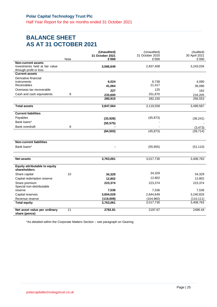### **BALANCE SHEET AS AT 31 OCTOBER 2021**

|                                                                                       |      | (Unaudited)<br>31 October 2021 | (Unaudited)<br>31 October 2020 | (Audited)<br>30 April 2021 |
|---------------------------------------------------------------------------------------|------|--------------------------------|--------------------------------|----------------------------|
|                                                                                       | Note | £'000                          | £'000                          | £'000                      |
| <b>Non-current assets</b><br>Investments held at fair value<br>through profit or loss |      | 3,566,649                      | 2,837,408                      | 3,243,034                  |
| <b>Current assets</b>                                                                 |      |                                |                                |                            |
| Derivative financial                                                                  |      |                                |                                |                            |
| instruments                                                                           |      | 6,024                          | 8,738                          | 4,090                      |
| Receivables                                                                           |      | 41,064                         | 21,417                         | 36,096                     |
| Overseas tax recoverable                                                              |      | 227                            | 125                            | 162                        |
| Cash and cash equivalents                                                             | 8    | 233,600                        | 251,870                        | 216,205                    |
|                                                                                       |      | 280,915                        | 282,150                        | 256,553                    |
| <b>Total assets</b>                                                                   |      | 3,847,564                      | 3,119,558                      | 3,499,587                  |
| <b>Current liabilities</b>                                                            |      |                                |                                |                            |
| Payables                                                                              |      | (33, 928)                      | (45, 873)                      | (36, 241)                  |
| Bank loans*                                                                           |      | (50, 575)                      |                                |                            |
| <b>Bank overdraft</b>                                                                 | 8    |                                |                                | (3, 473)                   |
|                                                                                       |      | (84, 503)                      | (45, 873)                      | (39, 714)                  |
|                                                                                       |      |                                |                                |                            |
| <b>Non-current liabilities</b>                                                        |      |                                |                                |                            |
| Bank loans*                                                                           |      |                                | (55, 955)                      | (51, 110)                  |
|                                                                                       |      |                                |                                |                            |
| <b>Net assets</b>                                                                     |      | 3,763,061                      | 3,017,730                      | 3,408,763                  |
| <b>Equity attributable to equity</b><br>shareholders                                  |      |                                |                                |                            |
| Share capital                                                                         | 10   | 34,329                         | 34,329                         | 34,329                     |
| Capital redemption reserve                                                            |      | 12,802                         | 12,802                         | 12,802                     |
| Share premium<br>Special non-distributable                                            |      | 223,374                        | 223,374                        | 223,374                    |
| reserve                                                                               |      | 7,536                          | 7,536                          | 7,536                      |
| Capital reserves                                                                      |      | 3,604,029                      | 2,844,649                      | 3,240,833                  |
| Revenue reserve                                                                       |      | (119,009)                      | (104, 960)                     | (110, 111)                 |
| <b>Total equity</b>                                                                   |      | 3,763,061                      | 3,017,730                      | 3,408,763                  |
| Net asset value per ordinary<br>share (pence)                                         | 11   | 2782.81                        | 2197.67                        | 2496.44                    |

\*As detailed within the Corporate Matters Section – see paragraph on Gearing.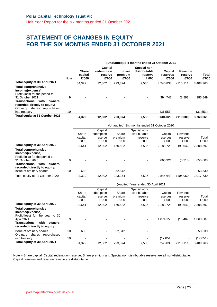Half Year Report for the six months ended 31 October 2021

### **STATEMENT OF CHANGES IN EQUITY FOR THE SIX MONTHS ENDED 31 OCTOBER 2021**

|                                                                                                                                |      | (Unaudited) Six months ended 31 October 2021 |                                           |                                  |                                                   |                                     |                             |                |  |
|--------------------------------------------------------------------------------------------------------------------------------|------|----------------------------------------------|-------------------------------------------|----------------------------------|---------------------------------------------------|-------------------------------------|-----------------------------|----------------|--|
|                                                                                                                                | Note | <b>Share</b><br>capital<br>£'000             | Capital<br>redemption<br>reserve<br>£'000 | <b>Share</b><br>premium<br>£'000 | Special non-<br>distributable<br>reserve<br>£'000 | <b>Capital</b><br>reserves<br>£'000 | Revenue<br>reserve<br>£'000 | Total<br>£'000 |  |
| Total equity at 30 April 2021                                                                                                  |      | 34.329                                       | 12.802                                    | 223.374                          | 7.536                                             | 3.240.833                           | (110, 111)                  | 3,408,763      |  |
| <b>Total comprehensive</b><br>income/(expense):<br>Profit/(loss) for the period to                                             |      |                                              |                                           |                                  |                                                   |                                     |                             |                |  |
| 31 October 2021<br>with<br><b>Transactions</b><br>owners.<br>recorded directly to equity:<br>Ordinary<br>shares<br>repurchased | 9    |                                              |                                           |                                  | $\overline{\phantom{a}}$                          | 394.747                             | (8,898)                     | 385,849        |  |
| into treasury                                                                                                                  | 10   |                                              |                                           |                                  |                                                   | (31,551)                            |                             | (31,551)       |  |
| Total equity at 31 October 2021                                                                                                |      | 34.329                                       | 12.802                                    | 223.374                          | 7,536                                             | 3,604,029                           | (119,009)                   | 3,763,061      |  |

|                                                                                                                                                                                                             |         |                                 | (Unaudited) Six months ended 31 October 2020 |                           |                                                   |                              |                             |                   |  |  |  |  |  |
|-------------------------------------------------------------------------------------------------------------------------------------------------------------------------------------------------------------|---------|---------------------------------|----------------------------------------------|---------------------------|---------------------------------------------------|------------------------------|-----------------------------|-------------------|--|--|--|--|--|
|                                                                                                                                                                                                             |         | Share<br>capital<br>£'000       | Capital<br>redemption<br>reserve<br>£'000    | Share<br>premium<br>£'000 | Special non-<br>distributable<br>reserve<br>£'000 | Capital<br>reserves<br>£'000 | Revenue<br>reserve<br>£'000 | Total<br>£'000    |  |  |  |  |  |
| Total equity at 30 April 2020                                                                                                                                                                               |         | 33.641                          | 12.802                                       | 170,532                   | 7,536                                             | 2,183,728                    | (99, 642)                   | 2,308,597         |  |  |  |  |  |
| <b>Total comprehensive</b><br>income/(expense):<br>Profit/(loss) for the period to<br>31 October 2020<br>with<br><b>Transactions</b><br>owners.<br>recorded directly to equity:<br>Issue of ordinary shares | 9<br>10 | $\overline{\phantom{0}}$<br>688 | $\overline{\phantom{0}}$                     | 52.842                    |                                                   | 660.921                      | (5,318)                     | 655,603<br>53,530 |  |  |  |  |  |
| Total equity at 31 October 2020                                                                                                                                                                             |         | 34.329                          | 12.802                                       | 223.374                   | 7.536                                             | 2.844.649                    | (104.960)                   | 3,017,730         |  |  |  |  |  |

|                                                                                                                                                                             |    | (Audited) Year ended 30 April 2021 |                                           |                           |                                                   |                              |                             |                |
|-----------------------------------------------------------------------------------------------------------------------------------------------------------------------------|----|------------------------------------|-------------------------------------------|---------------------------|---------------------------------------------------|------------------------------|-----------------------------|----------------|
|                                                                                                                                                                             |    | Share<br>capital<br>£'000          | Capital<br>redemption<br>reserve<br>£'000 | Share<br>premium<br>£'000 | Special non-<br>distributable<br>reserve<br>£'000 | Capital<br>reserves<br>£'000 | Revenue<br>reserve<br>£'000 | Total<br>£'000 |
| Total equity at 30 April 2020                                                                                                                                               |    | 33.641                             | 12.802                                    | 170,532                   | 7,536                                             | 2,183,728                    | (99, 642)                   | 2,308,597      |
| <b>Total comprehensive</b><br>income/(expense):<br>Profit/(loss) for the year to 30<br>April 2021<br><b>Transactions</b><br>with<br>owners.<br>recorded directly to equity: | 9  | $\overline{\phantom{0}}$           |                                           |                           |                                                   | 1.074.156                    | (10, 469)                   | 1,063,687      |
| Issue of ordinary shares<br>repurchased<br>Ordinary shares                                                                                                                  | 10 | 688                                |                                           | 52,842                    |                                                   |                              | $\overline{\phantom{a}}$    | 53,530         |
| into treasury                                                                                                                                                               | 10 | $\overline{\phantom{a}}$           |                                           |                           |                                                   | (17,051)                     |                             | (17,051)       |
| Total equity at 30 April 2021                                                                                                                                               |    | 34.329                             | 12.802                                    | 223,374                   | 7,536                                             | 3.240.833                    | (110.111)                   | 3.408.763      |

Note – Share capital, Capital redemption reserve, Share premium and Special non-distributable reserve are all non-distributable. Capital reserves and revenue reserve are distributable.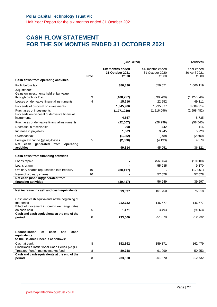Half Year Report for the six months ended 31 October 2021

### **CASH FLOW STATEMENT FOR THE SIX MONTHS ENDED 31 OCTOBER 2021**

|                                                                                                                             |      | (Unaudited)                                  | (Audited)                                    |                                      |
|-----------------------------------------------------------------------------------------------------------------------------|------|----------------------------------------------|----------------------------------------------|--------------------------------------|
|                                                                                                                             | Note | Six months ended<br>31 October 2021<br>£'000 | Six months ended<br>31 October 2020<br>£'000 | Year ended<br>30 April 2021<br>£'000 |
| Cash flows from operating activities                                                                                        |      |                                              |                                              |                                      |
| Profit before tax                                                                                                           |      | 386,836                                      | 656,571                                      | 1,066,119                            |
| Adjustment:<br>Gains on investments held at fair value<br>through profit or loss                                            | 3    | (408, 257)                                   | (690, 709)                                   | (1, 127, 646)                        |
| Losses on derivative financial instruments                                                                                  | 4    | 15,516                                       | 22,952                                       | 49,111                               |
| Proceeds of disposal on investments                                                                                         |      | 1,345,986                                    | 1,295,377                                    | 3,089,314                            |
| Purchases of investments<br>Proceeds on disposal of derivative financial                                                    |      | (1, 271, 030)                                | (1,216,096)                                  | (2,998,482)                          |
| instruments                                                                                                                 |      | 4,557                                        |                                              | 8,735                                |
| Purchases of derivative financial instruments                                                                               |      | (22,007)                                     | (28, 299)                                    | (58, 545)                            |
| Decrease in receivables                                                                                                     |      | 208                                          | 442                                          | 116                                  |
| Increase in payables                                                                                                        |      | 1,063                                        | 9,945                                        | 5,720                                |
| Overseas tax                                                                                                                |      | (1,052)                                      | (999)                                        | (2,500)                              |
| Foreign exchange (gains)/losses<br>Net cash<br>generated from<br>operating                                                  | 5    | (2,006)                                      | (4, 133)                                     | 4,379                                |
| activities                                                                                                                  |      | 49,814                                       | 45,051                                       | 36,321                               |
| Cash flows from financing activities<br>Loans repaid<br>Loans drawn                                                         |      |                                              | (56, 364)<br>55,935                          | (10, 300)<br>9,870                   |
| Ordinary shares repurchased into treasury                                                                                   | 10   | (30, 417)                                    |                                              | (17,051)                             |
| Issue of ordinary shares                                                                                                    | 10   |                                              | 57,078                                       | 57,078                               |
| Net cash (used in)/generated from<br>financing activities                                                                   |      | (30, 417)                                    | 56,649                                       | 39,597                               |
| Net increase in cash and cash equivalents                                                                                   |      | 19,397                                       | 101,700                                      | 75,918                               |
| Cash and cash equivalents at the beginning of<br>the period<br>Effect of movement in foreign exchange rates<br>on cash held | 5    | 212,732<br>1,471                             | 146,677<br>3,493                             | 146,677<br>(9,863)                   |
| Cash and cash equivalents at the end of the                                                                                 |      |                                              |                                              |                                      |
| period                                                                                                                      | 8    | 233,600                                      | 251,870                                      | 212,732                              |
|                                                                                                                             |      |                                              |                                              |                                      |
| <b>Reconciliation</b><br>of<br>and<br>cash<br>cash<br>equivalents<br>to the Balance Sheet is as follows:                    |      |                                              |                                              |                                      |
| Cash at bank<br>BlackRock's Institutional Cash Series plc (US                                                               | 8    | 152,862                                      | 159,871                                      | 162,479                              |
| Treasury Fund), money market fund                                                                                           | 8    | 80,738                                       | 91,999                                       | 50,253                               |
| Cash and cash equivalents at the end of the<br>period                                                                       | 8    | 233,600                                      | 251,870                                      | 212,732                              |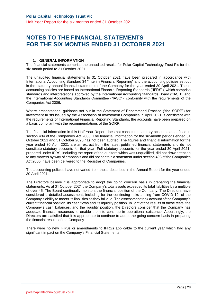### **NOTES TO THE FINANCIAL STATEMENTS FOR THE SIX MONTHS ENDED 31 OCTOBER 2021**

#### **1. GENERAL INFORMATION**

The financial statements comprise the unaudited results for Polar Capital Technology Trust Plc for the six-month period to 31 October 2021.

The unaudited financial statements to 31 October 2021 have been prepared in accordance with International Accounting Standard 34 "Interim Financial Reporting" and the accounting policies set out in the statutory annual financial statements of the Company for the year ended 30 April 2021. These accounting policies are based on International Financial Reporting Standards ("IFRS"), which comprise standards and interpretations approved by the International Accounting Standards Board ("IASB") and the International Accounting Standards Committee ("IASC"), conformity with the requirements of the Companies Act 2006.

Where presentational guidance set out in the Statement of Recommend Practice ("the SORP") for investment trusts issued by the Association of Investment Companies in April 2021 is consistent with the requirements of International Financial Reporting Standards, the accounts have been prepared on a basis compliant with the recommendations of the SORP.

The financial information in this Half Year Report does not constitute statutory accounts as defined in section 434 of the Companies Act 2006. The financial information for the six-month periods ended 31 October 2021 and 31 October 2020 has not been audited. The figures and financial information for the year ended 30 April 2021 are an extract from the latest published financial statements and do not constitute statutory accounts for that year. Full statutory accounts for the year ended 30 April 2021, prepared under IFRS, including the report of the auditors which was unqualified, did not draw attention to any matters by way of emphasis and did not contain a statement under section 498 of the Companies Act 2006, have been delivered to the Registrar of Companies.

The accounting policies have not varied from those described in the Annual Report for the year ended 30 April 2021.

The Directors believe it is appropriate to adopt the going concern basis in preparing the financial statements. As at 31 October 2021 the Company's total assets exceeded its total liabilities by a multiple of over 45. The Board continually monitors the financial position of the Company. The Directors have considered a detailed assessment, including for the continuing risks arising from COVID-19, of the Company's ability to meets its liabilities as they fall due. The assessment took account of the Company's current financial position, its cash flows and its liquidity position. In light of the results of these tests, the Company's cash balances, and the liquidity position, the Directors consider that the Company has adequate financial resources to enable them to continue in operational existence. Accordingly, the Directors are satisfied that it is appropriate to continue to adopt the going concern basis in preparing the financial results of the Company.

There were no new IFRSs or amendments to IFRSs applicable to the current year which had any significant impact on the Company's Financial Statements.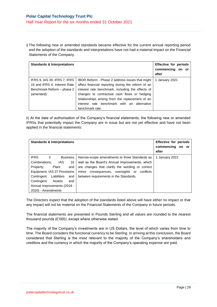i) The following new or amended standards became effective for the current annual reporting period and the adoption of the standards and interpretations have not had a material impact on the Financial Statements of the Company.

| <b>Standards &amp; Interpretations</b>                                                                  |                                                                                                                                                                                                                                                                                                                                  | <b>Effective for periods</b><br>commencing on or<br>after |
|---------------------------------------------------------------------------------------------------------|----------------------------------------------------------------------------------------------------------------------------------------------------------------------------------------------------------------------------------------------------------------------------------------------------------------------------------|-----------------------------------------------------------|
| IFRS 9, IAS 39, IFRS 7, IFRS<br>16 and IFRS 4: Interest Rate<br>Benchmark Reform - phase 2<br>(amended) | IBOR Reform - Phase 2 address issues that might<br>affect financial reporting during the reform of an<br>interest rate benchmark, including the effects of<br>changes to contractual cash flows or hedging<br>relationships arising from the replacement of an<br>interest rate benchmark with an alternative<br>benchmark rate. | 1 January 2021                                            |

ii) At the date of authorisation of the Company's financial statements, the following new or amended IFRSs that potentially impact the Company are in issue but are not yet effective and have not been applied in the financial statements:

| <b>Standards &amp; Interpretations</b> |                                                 | Effective for periods<br>commencing<br>on or<br>after |
|----------------------------------------|-------------------------------------------------|-------------------------------------------------------|
| <b>IFRS</b><br>3<br><b>Business</b>    | Narrow-scope amendments to three Standards as   | 1 January 2022                                        |
| Combinations:<br>IAS.<br>16            | well as the Board's Annual Improvements, which  |                                                       |
| Plant<br>Property,<br>and              | are changes that clarify the wording or correct |                                                       |
| Equipment; IAS 37 Provisions           | minor consequences, oversights or<br>conflicts  |                                                       |
| Liabilities<br>Contingent<br>and       | between requirements in the Standards.          |                                                       |
| Contingent<br>Assets<br>and            |                                                 |                                                       |
| Annual Improvements (2018 -            |                                                 |                                                       |
| 2020) - Amendments                     |                                                 |                                                       |

The Directors expect that the adoption of the standards listed above will have either no impact or that any impact will not be material on the Financial Statements of the Company in future periods.

The financial statements are presented in Pounds Sterling and all values are rounded to the nearest thousand pounds (£'000), except where otherwise stated.

The majority of the Company's investments are in US Dollars, the level of which varies from time to time. The Board considers the functional currency to be Sterling. In arriving at this conclusion, the Board considered that Sterling is the most relevant to the majority of the Company's shareholders and creditors and the currency in which the majority of the Company's operating expense are paid.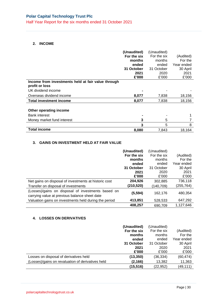Half Year Report for the six months ended 31 October 2021

#### **2. INCOME**

|                                                                              | (Unaudited)<br>For the six<br>months<br>ended<br>31 October<br>2021<br>£'000 | (Unaudited)<br>For the six<br>months<br>ended<br>31 October<br>2020<br>£'000 | (Audited)<br>For the<br>Year ended<br>30 April<br>2021<br>£'000 |
|------------------------------------------------------------------------------|------------------------------------------------------------------------------|------------------------------------------------------------------------------|-----------------------------------------------------------------|
| Income from investments held at fair value through<br>profit or loss         |                                                                              |                                                                              |                                                                 |
| UK dividend income                                                           |                                                                              |                                                                              |                                                                 |
| Overseas dividend income                                                     | 8,077                                                                        | 7,838                                                                        | 18,156                                                          |
| <b>Total investment income</b>                                               | 8,077                                                                        | 7,838                                                                        | 18,156                                                          |
| Other operating income<br><b>Bank interest</b><br>Money market fund interest | 3                                                                            | 5                                                                            |                                                                 |
|                                                                              | 3                                                                            | 5                                                                            | 8                                                               |
| <b>Total income</b>                                                          | 8,080                                                                        | 7,843                                                                        | 18,164                                                          |

#### **3. GAINS ON INVESTMENT HELD AT FAIR VALUE**

|                                                                                                     | (Unaudited) | (Unaudited) |            |
|-----------------------------------------------------------------------------------------------------|-------------|-------------|------------|
|                                                                                                     | For the six | For the six | (Audited)  |
|                                                                                                     | months      | months      | For the    |
|                                                                                                     | ended       | ended       | Year ended |
|                                                                                                     | 31 October  | 31 October  | 30 April   |
|                                                                                                     | 2021        | 2020        | 2021       |
|                                                                                                     | £'000       | £'000       | £'000      |
| Net gains on disposal of investments at historic cost                                               | 204,926     | 302,885     | 736,118    |
| Transfer on disposal of investments                                                                 | (210,520)   | (140, 709)  | (255,764)  |
| (Losses)/gains on disposal of investments based on<br>carrying value at previous balance sheet date | (5, 594)    | 162,176     | 480,354    |
| Valuation gains on investments held during the period                                               | 413,851     | 528,533     | 647,292    |
|                                                                                                     | 408,257     | 690,709     | 1,127,646  |

#### **4. LOSSES ON DERIVATIVES**

|                                                   | (Unaudited) | (Unaudited) |            |
|---------------------------------------------------|-------------|-------------|------------|
|                                                   | For the six | For the six | (Audited)  |
|                                                   | months      | months      | For the    |
|                                                   | ended       | ended       | Year ended |
|                                                   | 31 October  | 31 October  | 30 April   |
|                                                   | 2021        | 2020        | 2021       |
|                                                   | £'000       | £'000       | £'000      |
| Losses on disposal of derivatives held            | (13, 350)   | (36, 334)   | (60, 474)  |
| (Losses)/gains on revaluation of derivatives held | (2, 166)    | 13,382      | 11,363     |
|                                                   | (15, 516)   | (22, 952)   | (49, 111)  |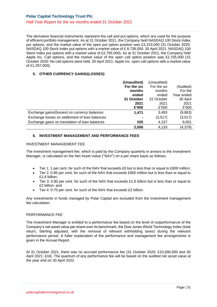The derivative financial instruments represent the call and put options, which are used for the purpose of efficient portfolio management. As at 31 October 2021, the Company held NASDAQ 100 Stock Index put options, and the market value of the open put option position was £3,319,000 (31 October 2020: NASDAQ 100 Stock Index put options with a market value of £ 8,738,000. 30 April 2021: NASDAQ 100 Stock Index put options with a market value of £2,793,000). As at 31 October 2021, the Company held Apple Inc. Call options, and the market value of the open call option position was £2,705,000 (31 October 2020: No call options were held. 30 April 2021: Apple Inc. open call options with a market value of £1,297,000).

#### **5. OTHER CURRENCY GAINS/(LOSSES)**

|                                                | (Unaudited) | (Unaudited) |            |
|------------------------------------------------|-------------|-------------|------------|
|                                                | For the six | For the six | (Audited)  |
|                                                | months      | months      | For the    |
|                                                | ended       | ended       | Year ended |
|                                                | 31 October  | 31 October  | 30 April   |
|                                                | 2021        | 2021        | 2021       |
|                                                | £'000       | £'000       | £'000      |
| Exchange gains/(losses) on currency balances   | 1,471       | 3,493       | (9,863)    |
| Exchange losses on settlement of loan balances |             | (3,517)     | (3,517)    |
| Exchange gains on translation of loan balances | 535         | 4,157       | 9,001      |
|                                                | 2.006       | 4.133       | (4, 379)   |

#### **6. INVESTMENT MANAGEMENT AND PERFORMANCE FEES**

#### INVESTMENT MANAGEMENT FEE

The investment management fee, which is paid by the Company quarterly in arrears to the Investment Manager, is calculated on the Net Asset Value ("NAV") on a per share basis as follows:

- Tier 1: 1 per cent. for such of the NAV that exceeds £0 but is less than or equal to £800 million;
- Tier 2: 0.85 per cent. for such of the NAV that exceeds £800 million but is less than or equal to £1.6 billion;
- Tier 3: 0.80 per cent. for such of the NAV that exceeds £1.6 billion but is less than or equal to £2 billion; and
- Tier 4: 0.70 per cent. for such of the NAV that exceeds £2 billion.

Any investments in funds managed by Polar Capital are excluded from the investment management fee calculation.

#### PERFORMANCE FEE

The Investment Manager is entitled to a performance fee based on the level of outperformance of the Company's net asset value per share over its benchmark, the Dow Jones World Technology Index (total return, Sterling adjusted, with the removal of relevant withholding taxes) during the relevant performance period. A fuller explanation of the performance and management fee arrangements is given in the Annual Report.

At 31 October 2021, there was no accrued performance fee (31 October 2020: £10,690,000 and 30 April 2021: £nil). The quantum of any performance fee will be based on the audited net asset value at the year end on 30 April 2022.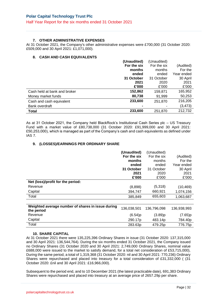#### **7. OTHER ADMINISTRATIVE EXPENSES**

At 31 October 2021, the Company's other administrative expenses were £700,000 (31 October 2020: £509,000 and 30 April 2021: £1,071,000).

#### **8. CASH AND CASH EQUIVALENTS**

|                              | (Unaudited) | (Unaudited) |            |
|------------------------------|-------------|-------------|------------|
|                              | For the six | For the six | (Audited)  |
|                              | months      | months      | For the    |
|                              | ended       | ended       | Year ended |
|                              | 31 October  | 31 October  | 30 April   |
|                              | 2021        | 2020        | 2021       |
|                              | £'000       | £'000       | £'000      |
| Cash held at bank and broker | 152,862     | 159,871     | 165,952    |
| Money market funds           | 80,738      | 91,999      | 50,253     |
| Cash and cash equivalent     | 233,600     | 251,870     | 216,205    |
| Bank overdraft               |             |             | (3, 473)   |
| <b>Total</b>                 | 233,600     | 251,870     | 212,732    |

As at 31 October 2021, the Company held BlackRock's Institutional Cash Series plc – US Treasury Fund with a market value of £80,738,000 (31 October 2020: £91,999,000 and 30 April 2021: £50,253,000), which is managed as part of the Company's cash and cash equivalents as defined under IAS 7.

#### **9. (LOSSES)/EARNINGS PER ORDINARY SHARE**

|                                                                 | (Unaudited)<br>For the six<br>months<br>ended<br>31 October<br>2021<br>£'000 | (Unaudited)<br>For the six<br>months<br>ended<br>31 October<br>2020<br>£'000 | (Audited)<br>For the<br>Year ended<br>30 April<br>2021<br>£'000 |
|-----------------------------------------------------------------|------------------------------------------------------------------------------|------------------------------------------------------------------------------|-----------------------------------------------------------------|
| Net (loss)/profit for the period:                               |                                                                              |                                                                              |                                                                 |
| Revenue                                                         | (8,898)                                                                      | (5,318)                                                                      | (10, 469)                                                       |
| Capital                                                         | 394,747                                                                      | 660,921                                                                      | 1,074,156                                                       |
| Total                                                           | 385,849                                                                      | 655,603                                                                      | 1,063,687                                                       |
|                                                                 |                                                                              |                                                                              |                                                                 |
| Weighted average number of shares in issue during<br>the period | 136,038,501                                                                  | 136,796,098                                                                  | 136,938,993                                                     |
| Revenue                                                         | (6.54)p                                                                      | (3.89)p                                                                      | (7.65)p                                                         |
| Capital                                                         | 290.17p                                                                      | 483.14p                                                                      | 784.40p                                                         |
| Total                                                           | 283.63p                                                                      | 479.25p                                                                      | 776.75p                                                         |

#### **10. SHARE CAPITAL**

At 31 October 2021 there were 135,225,396 Ordinary Shares in issue (31 October 2020: 137,315,000 and 30 April 2021: 136,544,764). During the six months ended 31 October 2021, the Company issued no Ordinary Shares (31 October 2020 and 30 April 2021: 2,749,000 Ordinary Shares, nominal value £688,000 were issued to the market to satisfy demand, for a total net consideration of £53,715,000), During the same period, a total of 1,319,368 (31 October 2020: nil and 30 April 2021: 770,236) Ordinary Shares were repurchased and placed into treasury for a total consideration of £31,332,000 ( (31 October 2020: £nil and 30 April 2021: £16,966,000).

Subsequent to the period end, and to 10 December 2021 (the latest practicable date), 691,383 Ordinary Shares were repurchased and placed into treasury at an average price of 2657.29p per share.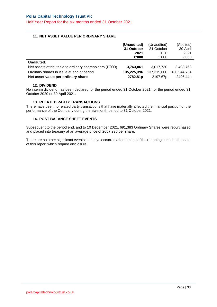Half Year Report for the six months ended 31 October 2021

#### **11. NET ASSET VALUE PER ORDINARY SHARE**

|                                                          | (Unaudited) | (Unaudited) | (Audited)   |
|----------------------------------------------------------|-------------|-------------|-------------|
|                                                          | 31 October  | 31 October  | 30 April    |
|                                                          | 2021        | 2020        | 2021        |
|                                                          | £'000       | £'000       | £'000       |
| Undiluted:                                               |             |             |             |
| Net assets attributable to ordinary shareholders (£'000) | 3,763,061   | 3,017,730   | 3.408.763   |
| Ordinary shares in issue at end of period                | 135,225,396 | 137,315,000 | 136,544,764 |
| Net asset value per ordinary share                       | 2782.81p    | 2197.67p    | 2496.44p    |

#### **12. DIVIDEND**

No interim dividend has been declared for the period ended 31 October 2021 nor the period ended 31 October 2020 or 30 April 2021.

#### **13. RELATED PARTY TRANSACTIONS**

There have been no related party transactions that have materially affected the financial position or the performance of the Company during the six-month period to 31 October 2021.

#### **14. POST BALANCE SHEET EVENTS**

Subsequent to the period end, and to 10 December 2021, 691,383 Ordinary Shares were repurchased and placed into treasury at an average price of 2657.29p per share.

There are no other significant events that have occurred after the end of the reporting period to the date of this report which require disclosure.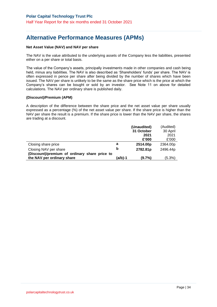## **Alternative Performance Measures (APMs)**

#### **Net Asset Value (NAV) and NAV per share**

The NAV is the value attributed to the underlying assets of the Company less the liabilities, presented either on a per share or total basis.

The value of the Company's assets, principally investments made in other companies and cash being held, minus any liabilities. The NAV is also described as 'Shareholders' funds' per share. The NAV is often expressed in pence per share after being divided by the number of shares which have been issued. The NAV per share is unlikely to be the same as the share price which is the price at which the Company's shares can be bought or sold by an investor. See Note 11 on above for detailed calculations. The NAV per ordinary share is published daily.

#### **(Discount)/Premium (APM)**

A description of the difference between the share price and the net asset value per share usually expressed as a percentage (%) of the net asset value per share. If the share price is higher than the NAV per share the result is a premium. If the share price is lower than the NAV per share, the shares are trading at a discount.

|                                               |         | (Unaudited) | (Audited) |
|-----------------------------------------------|---------|-------------|-----------|
|                                               |         | 31 October  | 30 April  |
|                                               |         | 2021        | 2021      |
|                                               |         | £'000       | £'000     |
| Closing share price                           | а       | 2514.00p    | 2364.00p  |
| Closing NAV per share                         | b       | 2782.81p    | 2496.44p  |
| (Discount)/premium of ordinary share price to |         |             |           |
| the NAV per ordinary share                    | (a/b)-1 | (9.7%)      | (5.3%)    |